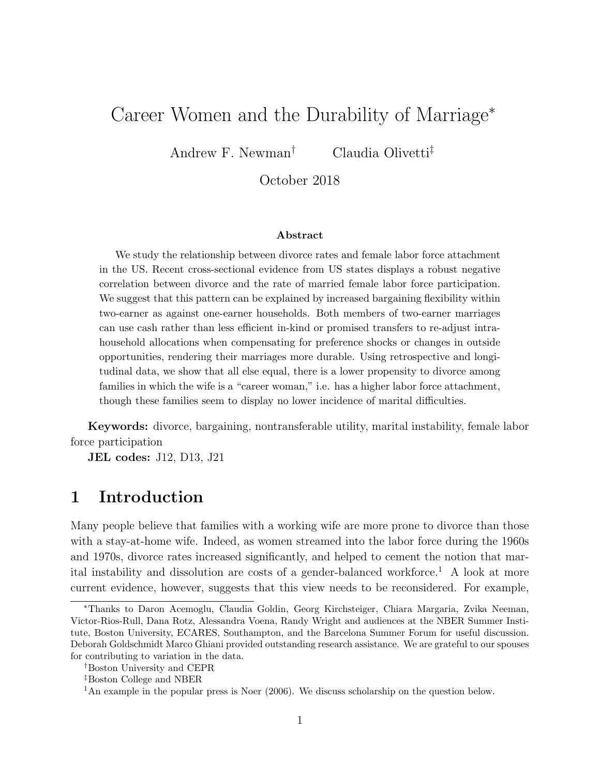# Career Women and the Durability of Marriage<sup>∗</sup>

Andrew F. Newman† Claudia Olivetti‡

October 2018

#### Abstract

We study the relationship between divorce rates and female labor force attachment in the US. Recent cross-sectional evidence from US states displays a robust negative correlation between divorce and the rate of married female labor force participation. We suggest that this pattern can be explained by increased bargaining flexibility within two-earner as against one-earner households. Both members of two-earner marriages can use cash rather than less efficient in-kind or promised transfers to re-adjust intrahousehold allocations when compensating for preference shocks or changes in outside opportunities, rendering their marriages more durable. Using retrospective and longitudinal data, we show that all else equal, there is a lower propensity to divorce among families in which the wife is a "career woman," i.e. has a higher labor force attachment, though these families seem to display no lower incidence of marital difficulties.

Keywords: divorce, bargaining, nontransferable utility, marital instability, female labor force participation

JEL codes: J12, D13, J21

## 1 Introduction

Many people believe that families with a working wife are more prone to divorce than those with a stay-at-home wife. Indeed, as women streamed into the labor force during the 1960s and 1970s, divorce rates increased significantly, and helped to cement the notion that marital instability and dissolution are costs of a gender-balanced workforce.<sup>1</sup> A look at more current evidence, however, suggests that this view needs to be reconsidered. For example,

<sup>∗</sup>Thanks to Daron Acemoglu, Claudia Goldin, Georg Kirchsteiger, Chiara Margaria, Zvika Neeman, Victor-Rios-Rull, Dana Rotz, Alessandra Voena, Randy Wright and audiences at the NBER Summer Institute, Boston University, ECARES, Southampton, and the Barcelona Summer Forum for useful discussion. Deborah Goldschmidt Marco Ghiani provided outstanding research assistance. We are grateful to our spouses for contributing to variation in the data.

<sup>†</sup>Boston University and CEPR

<sup>‡</sup>Boston College and NBER

<sup>&</sup>lt;sup>1</sup>An example in the popular press is Noer  $(2006)$ . We discuss scholarship on the question below.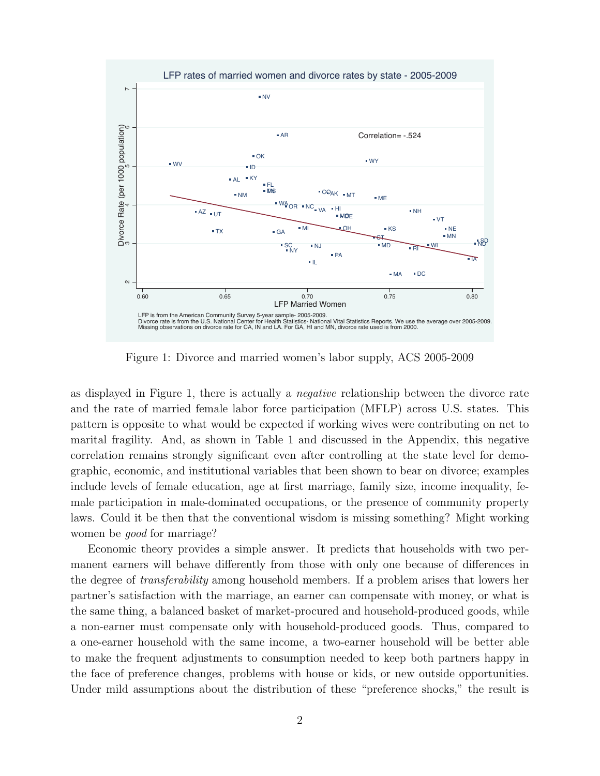

Figure 1: Divorce and married women's labor supply, ACS 2005-2009

as displayed in Figure 1, there is actually a negative relationship between the divorce rate and the rate of married female labor force participation (MFLP) across U.S. states. This pattern is opposite to what would be expected if working wives were contributing on net to marital fragility. And, as shown in Table 1 and discussed in the Appendix, this negative correlation remains strongly significant even after controlling at the state level for demographic, economic, and institutional variables that been shown to bear on divorce; examples include levels of female education, age at first marriage, family size, income inequality, female participation in male-dominated occupations, or the presence of community property laws. Could it be then that the conventional wisdom is missing something? Might working women be good for marriage?

Economic theory provides a simple answer. It predicts that households with two permanent earners will behave differently from those with only one because of differences in the degree of transferability among household members. If a problem arises that lowers her partner's satisfaction with the marriage, an earner can compensate with money, or what is the same thing, a balanced basket of market-procured and household-produced goods, while a non-earner must compensate only with household-produced goods. Thus, compared to a one-earner household with the same income, a two-earner household will be better able to make the frequent adjustments to consumption needed to keep both partners happy in the face of preference changes, problems with house or kids, or new outside opportunities. Under mild assumptions about the distribution of these "preference shocks," the result is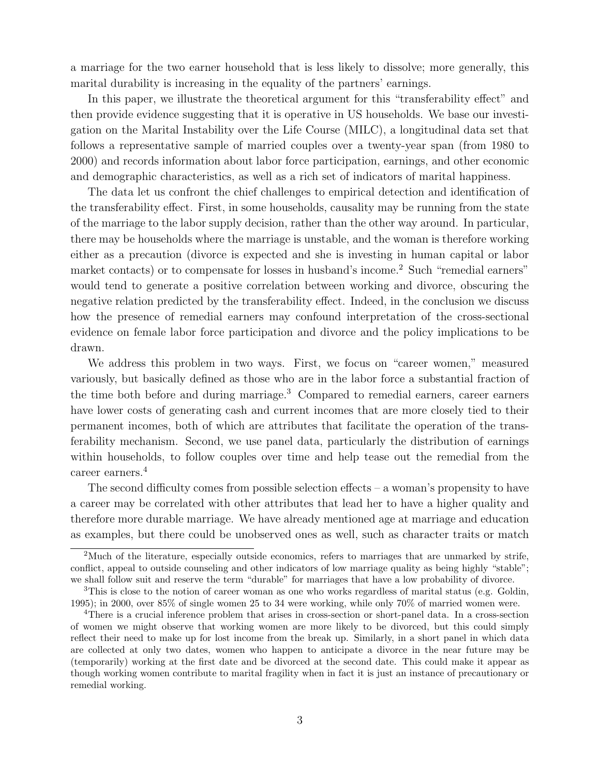a marriage for the two earner household that is less likely to dissolve; more generally, this marital durability is increasing in the equality of the partners' earnings.

In this paper, we illustrate the theoretical argument for this "transferability effect" and then provide evidence suggesting that it is operative in US households. We base our investigation on the Marital Instability over the Life Course (MILC), a longitudinal data set that follows a representative sample of married couples over a twenty-year span (from 1980 to 2000) and records information about labor force participation, earnings, and other economic and demographic characteristics, as well as a rich set of indicators of marital happiness.

The data let us confront the chief challenges to empirical detection and identification of the transferability effect. First, in some households, causality may be running from the state of the marriage to the labor supply decision, rather than the other way around. In particular, there may be households where the marriage is unstable, and the woman is therefore working either as a precaution (divorce is expected and she is investing in human capital or labor market contacts) or to compensate for losses in husband's income.<sup>2</sup> Such "remedial earners" would tend to generate a positive correlation between working and divorce, obscuring the negative relation predicted by the transferability effect. Indeed, in the conclusion we discuss how the presence of remedial earners may confound interpretation of the cross-sectional evidence on female labor force participation and divorce and the policy implications to be drawn.

We address this problem in two ways. First, we focus on "career women," measured variously, but basically defined as those who are in the labor force a substantial fraction of the time both before and during marriage.<sup>3</sup> Compared to remedial earners, career earners have lower costs of generating cash and current incomes that are more closely tied to their permanent incomes, both of which are attributes that facilitate the operation of the transferability mechanism. Second, we use panel data, particularly the distribution of earnings within households, to follow couples over time and help tease out the remedial from the career earners.<sup>4</sup>

The second difficulty comes from possible selection effects – a woman's propensity to have a career may be correlated with other attributes that lead her to have a higher quality and therefore more durable marriage. We have already mentioned age at marriage and education as examples, but there could be unobserved ones as well, such as character traits or match

<sup>&</sup>lt;sup>2</sup>Much of the literature, especially outside economics, refers to marriages that are unmarked by strife, conflict, appeal to outside counseling and other indicators of low marriage quality as being highly "stable"; we shall follow suit and reserve the term "durable" for marriages that have a low probability of divorce.

<sup>&</sup>lt;sup>3</sup>This is close to the notion of career woman as one who works regardless of marital status (e.g. Goldin, 1995); in 2000, over 85% of single women 25 to 34 were working, while only 70% of married women were.

<sup>4</sup>There is a crucial inference problem that arises in cross-section or short-panel data. In a cross-section of women we might observe that working women are more likely to be divorced, but this could simply reflect their need to make up for lost income from the break up. Similarly, in a short panel in which data are collected at only two dates, women who happen to anticipate a divorce in the near future may be (temporarily) working at the first date and be divorced at the second date. This could make it appear as though working women contribute to marital fragility when in fact it is just an instance of precautionary or remedial working.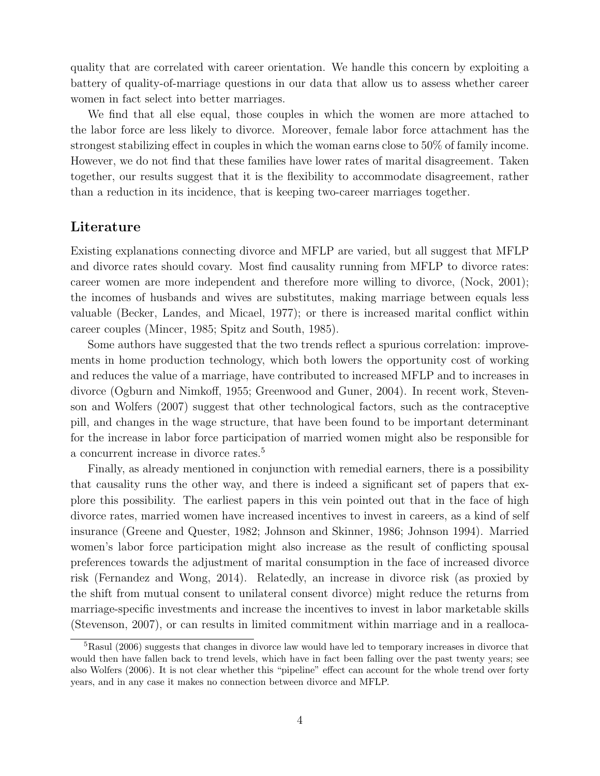quality that are correlated with career orientation. We handle this concern by exploiting a battery of quality-of-marriage questions in our data that allow us to assess whether career women in fact select into better marriages.

We find that all else equal, those couples in which the women are more attached to the labor force are less likely to divorce. Moreover, female labor force attachment has the strongest stabilizing effect in couples in which the woman earns close to 50% of family income. However, we do not find that these families have lower rates of marital disagreement. Taken together, our results suggest that it is the flexibility to accommodate disagreement, rather than a reduction in its incidence, that is keeping two-career marriages together.

### Literature

Existing explanations connecting divorce and MFLP are varied, but all suggest that MFLP and divorce rates should covary. Most find causality running from MFLP to divorce rates: career women are more independent and therefore more willing to divorce, (Nock, 2001); the incomes of husbands and wives are substitutes, making marriage between equals less valuable (Becker, Landes, and Micael, 1977); or there is increased marital conflict within career couples (Mincer, 1985; Spitz and South, 1985).

Some authors have suggested that the two trends reflect a spurious correlation: improvements in home production technology, which both lowers the opportunity cost of working and reduces the value of a marriage, have contributed to increased MFLP and to increases in divorce (Ogburn and Nimkoff, 1955; Greenwood and Guner, 2004). In recent work, Stevenson and Wolfers (2007) suggest that other technological factors, such as the contraceptive pill, and changes in the wage structure, that have been found to be important determinant for the increase in labor force participation of married women might also be responsible for a concurrent increase in divorce rates.<sup>5</sup>

Finally, as already mentioned in conjunction with remedial earners, there is a possibility that causality runs the other way, and there is indeed a significant set of papers that explore this possibility. The earliest papers in this vein pointed out that in the face of high divorce rates, married women have increased incentives to invest in careers, as a kind of self insurance (Greene and Quester, 1982; Johnson and Skinner, 1986; Johnson 1994). Married women's labor force participation might also increase as the result of conflicting spousal preferences towards the adjustment of marital consumption in the face of increased divorce risk (Fernandez and Wong, 2014). Relatedly, an increase in divorce risk (as proxied by the shift from mutual consent to unilateral consent divorce) might reduce the returns from marriage-specific investments and increase the incentives to invest in labor marketable skills (Stevenson, 2007), or can results in limited commitment within marriage and in a realloca-

<sup>&</sup>lt;sup>5</sup>Rasul (2006) suggests that changes in divorce law would have led to temporary increases in divorce that would then have fallen back to trend levels, which have in fact been falling over the past twenty years; see also Wolfers (2006). It is not clear whether this "pipeline" effect can account for the whole trend over forty years, and in any case it makes no connection between divorce and MFLP.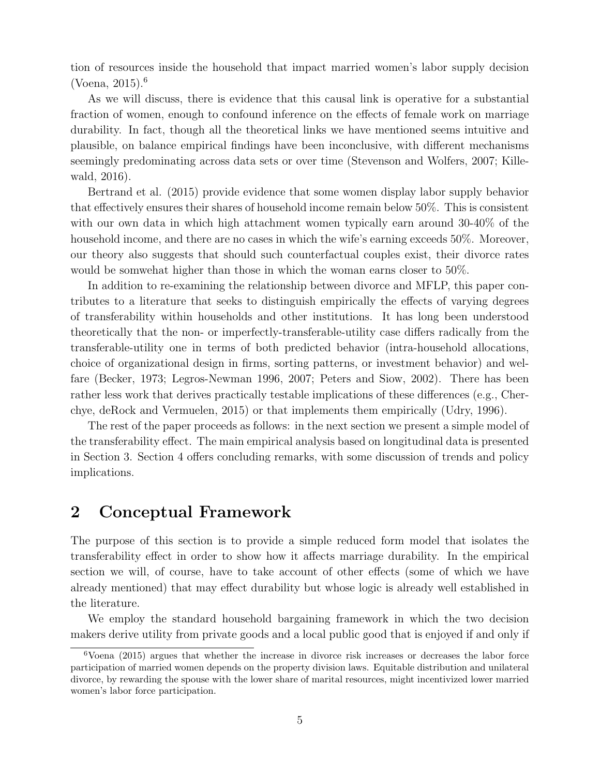tion of resources inside the household that impact married women's labor supply decision (Voena,  $2015$ ).<sup>6</sup>

As we will discuss, there is evidence that this causal link is operative for a substantial fraction of women, enough to confound inference on the effects of female work on marriage durability. In fact, though all the theoretical links we have mentioned seems intuitive and plausible, on balance empirical findings have been inconclusive, with different mechanisms seemingly predominating across data sets or over time (Stevenson and Wolfers, 2007; Killewald, 2016).

Bertrand et al. (2015) provide evidence that some women display labor supply behavior that effectively ensures their shares of household income remain below 50%. This is consistent with our own data in which high attachment women typically earn around 30-40% of the household income, and there are no cases in which the wife's earning exceeds 50%. Moreover, our theory also suggests that should such counterfactual couples exist, their divorce rates would be somwehat higher than those in which the woman earns closer to 50%.

In addition to re-examining the relationship between divorce and MFLP, this paper contributes to a literature that seeks to distinguish empirically the effects of varying degrees of transferability within households and other institutions. It has long been understood theoretically that the non- or imperfectly-transferable-utility case differs radically from the transferable-utility one in terms of both predicted behavior (intra-household allocations, choice of organizational design in firms, sorting patterns, or investment behavior) and welfare (Becker, 1973; Legros-Newman 1996, 2007; Peters and Siow, 2002). There has been rather less work that derives practically testable implications of these differences (e.g., Cherchye, deRock and Vermuelen, 2015) or that implements them empirically (Udry, 1996).

The rest of the paper proceeds as follows: in the next section we present a simple model of the transferability effect. The main empirical analysis based on longitudinal data is presented in Section 3. Section 4 offers concluding remarks, with some discussion of trends and policy implications.

## 2 Conceptual Framework

The purpose of this section is to provide a simple reduced form model that isolates the transferability effect in order to show how it affects marriage durability. In the empirical section we will, of course, have to take account of other effects (some of which we have already mentioned) that may effect durability but whose logic is already well established in the literature.

We employ the standard household bargaining framework in which the two decision makers derive utility from private goods and a local public good that is enjoyed if and only if

<sup>&</sup>lt;sup>6</sup>Voena (2015) argues that whether the increase in divorce risk increases or decreases the labor force participation of married women depends on the property division laws. Equitable distribution and unilateral divorce, by rewarding the spouse with the lower share of marital resources, might incentivized lower married women's labor force participation.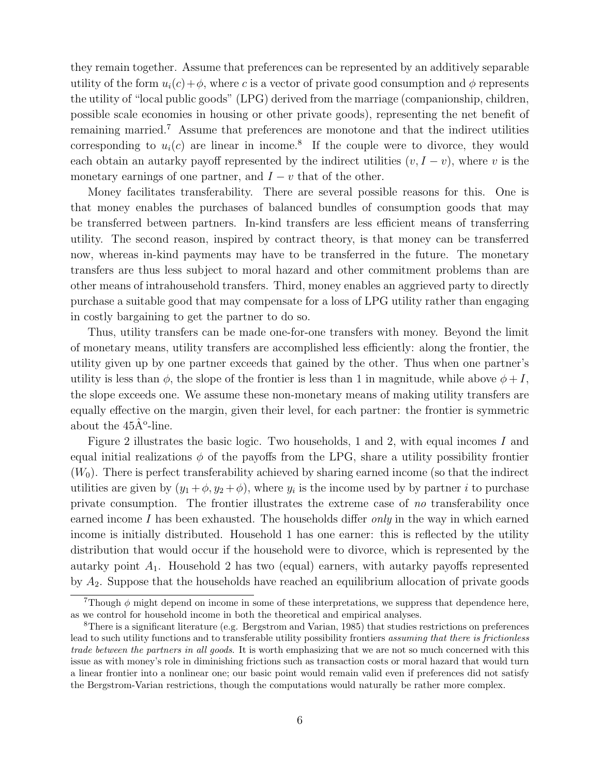they remain together. Assume that preferences can be represented by an additively separable utility of the form  $u_i(c) + \phi$ , where c is a vector of private good consumption and  $\phi$  represents the utility of "local public goods" (LPG) derived from the marriage (companionship, children, possible scale economies in housing or other private goods), representing the net benefit of remaining married.<sup>7</sup> Assume that preferences are monotone and that the indirect utilities corresponding to  $u_i(c)$  are linear in income.<sup>8</sup> If the couple were to divorce, they would each obtain an autarky payoff represented by the indirect utilities  $(v, I - v)$ , where v is the monetary earnings of one partner, and  $I - v$  that of the other.

Money facilitates transferability. There are several possible reasons for this. One is that money enables the purchases of balanced bundles of consumption goods that may be transferred between partners. In-kind transfers are less efficient means of transferring utility. The second reason, inspired by contract theory, is that money can be transferred now, whereas in-kind payments may have to be transferred in the future. The monetary transfers are thus less subject to moral hazard and other commitment problems than are other means of intrahousehold transfers. Third, money enables an aggrieved party to directly purchase a suitable good that may compensate for a loss of LPG utility rather than engaging in costly bargaining to get the partner to do so.

Thus, utility transfers can be made one-for-one transfers with money. Beyond the limit of monetary means, utility transfers are accomplished less efficiently: along the frontier, the utility given up by one partner exceeds that gained by the other. Thus when one partner's utility is less than  $\phi$ , the slope of the frontier is less than 1 in magnitude, while above  $\phi + I$ , the slope exceeds one. We assume these non-monetary means of making utility transfers are equally effective on the margin, given their level, for each partner: the frontier is symmetric about the  $45\hat{A}^{\circ}$ -line.

Figure 2 illustrates the basic logic. Two households, 1 and 2, with equal incomes I and equal initial realizations  $\phi$  of the payoffs from the LPG, share a utility possibility frontier  $(W_0)$ . There is perfect transferability achieved by sharing earned income (so that the indirect utilities are given by  $(y_1 + \phi, y_2 + \phi)$ , where  $y_i$  is the income used by by partner *i* to purchase private consumption. The frontier illustrates the extreme case of no transferability once earned income  $I$  has been exhausted. The households differ *only* in the way in which earned income is initially distributed. Household 1 has one earner: this is reflected by the utility distribution that would occur if the household were to divorce, which is represented by the autarky point  $A_1$ . Household 2 has two (equal) earners, with autarky payoffs represented by  $A_2$ . Suppose that the households have reached an equilibrium allocation of private goods

<sup>&</sup>lt;sup>7</sup>Though  $\phi$  might depend on income in some of these interpretations, we suppress that dependence here, as we control for household income in both the theoretical and empirical analyses.

<sup>8</sup>There is a significant literature (e.g. Bergstrom and Varian, 1985) that studies restrictions on preferences lead to such utility functions and to transferable utility possibility frontiers assuming that there is frictionless trade between the partners in all goods. It is worth emphasizing that we are not so much concerned with this issue as with money's role in diminishing frictions such as transaction costs or moral hazard that would turn a linear frontier into a nonlinear one; our basic point would remain valid even if preferences did not satisfy the Bergstrom-Varian restrictions, though the computations would naturally be rather more complex.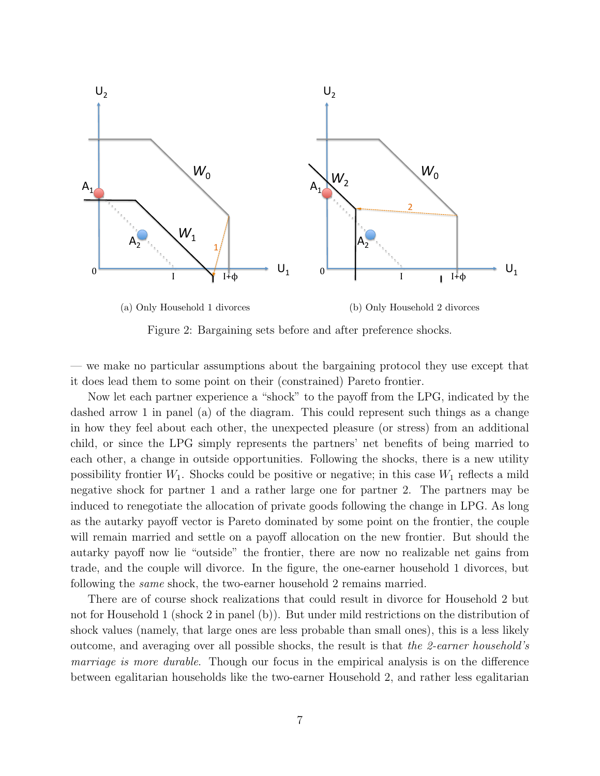

Figure 2: Bargaining sets before and after preference shocks.

— we make no particular assumptions about the bargaining protocol they use except that it does lead them to some point on their (constrained) Pareto frontier.

Now let each partner experience a "shock" to the payoff from the LPG, indicated by the dashed arrow 1 in panel (a) of the diagram. This could represent such things as a change in how they feel about each other, the unexpected pleasure (or stress) from an additional child, or since the LPG simply represents the partners' net benefits of being married to each other, a change in outside opportunities. Following the shocks, there is a new utility possibility frontier  $W_1$ . Shocks could be positive or negative; in this case  $W_1$  reflects a mild negative shock for partner 1 and a rather large one for partner 2. The partners may be induced to renegotiate the allocation of private goods following the change in LPG. As long as the autarky payoff vector is Pareto dominated by some point on the frontier, the couple will remain married and settle on a payoff allocation on the new frontier. But should the autarky payoff now lie "outside" the frontier, there are now no realizable net gains from trade, and the couple will divorce. In the figure, the one-earner household 1 divorces, but following the same shock, the two-earner household 2 remains married.

There are of course shock realizations that could result in divorce for Household 2 but not for Household 1 (shock 2 in panel (b)). But under mild restrictions on the distribution of shock values (namely, that large ones are less probable than small ones), this is a less likely outcome, and averaging over all possible shocks, the result is that the 2-earner household's marriage is more durable. Though our focus in the empirical analysis is on the difference between egalitarian households like the two-earner Household 2, and rather less egalitarian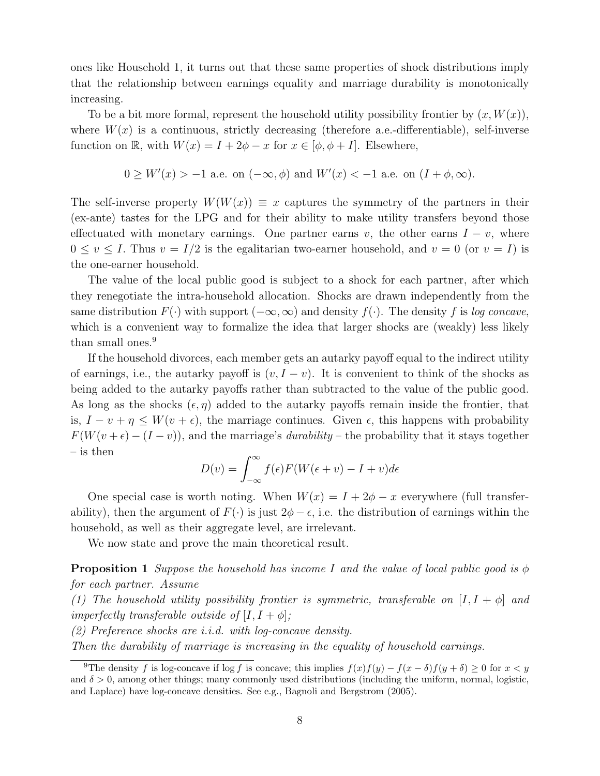ones like Household 1, it turns out that these same properties of shock distributions imply that the relationship between earnings equality and marriage durability is monotonically increasing.

To be a bit more formal, represent the household utility possibility frontier by  $(x, W(x))$ , where  $W(x)$  is a continuous, strictly decreasing (therefore a.e.-differentiable), self-inverse function on R, with  $W(x) = I + 2\phi - x$  for  $x \in [\phi, \phi + I]$ . Elsewhere,

$$
0 \geq W'(x) > -1
$$
 a.e. on  $(-\infty, \phi)$  and  $W'(x) < -1$  a.e. on  $(I + \phi, \infty)$ .

The self-inverse property  $W(W(x)) \equiv x$  captures the symmetry of the partners in their (ex-ante) tastes for the LPG and for their ability to make utility transfers beyond those effectuated with monetary earnings. One partner earns v, the other earns  $I - v$ , where  $0 \le v \le I$ . Thus  $v = I/2$  is the egalitarian two-earner household, and  $v = 0$  (or  $v = I$ ) is the one-earner household.

The value of the local public good is subject to a shock for each partner, after which they renegotiate the intra-household allocation. Shocks are drawn independently from the same distribution  $F(\cdot)$  with support  $(-\infty,\infty)$  and density  $f(\cdot)$ . The density f is log concave, which is a convenient way to formalize the idea that larger shocks are (weakly) less likely than small ones.<sup>9</sup>

If the household divorces, each member gets an autarky payoff equal to the indirect utility of earnings, i.e., the autarky payoff is  $(v, I - v)$ . It is convenient to think of the shocks as being added to the autarky payoffs rather than subtracted to the value of the public good. As long as the shocks  $(\epsilon, \eta)$  added to the autarky payoffs remain inside the frontier, that is,  $I - v + \eta \leq W(v + \epsilon)$ , the marriage continues. Given  $\epsilon$ , this happens with probability  $F(W(v + \epsilon) - (I - v))$ , and the marriage's *durability* – the probability that it stays together – is then

$$
D(v) = \int_{-\infty}^{\infty} f(\epsilon) F(W(\epsilon + v) - I + v) d\epsilon
$$

One special case is worth noting. When  $W(x) = I + 2\phi - x$  everywhere (full transferability), then the argument of  $F(\cdot)$  is just  $2\phi - \epsilon$ , i.e. the distribution of earnings within the household, as well as their aggregate level, are irrelevant.

We now state and prove the main theoretical result.

**Proposition 1** Suppose the household has income I and the value of local public good is  $\phi$ for each partner. Assume

(1) The household utility possibility frontier is symmetric, transferable on  $[I, I + \phi]$  and *imperfectly transferable outside of*  $[I, I + \phi]$ ;

(2) Preference shocks are i.i.d. with log-concave density.

Then the durability of marriage is increasing in the equality of household earnings.

<sup>&</sup>lt;sup>9</sup>The density f is log-concave if log f is concave; this implies  $f(x)f(y) - f(x - \delta)f(y + \delta) \ge 0$  for  $x < y$ and  $\delta > 0$ , among other things; many commonly used distributions (including the uniform, normal, logistic, and Laplace) have log-concave densities. See e.g., Bagnoli and Bergstrom (2005).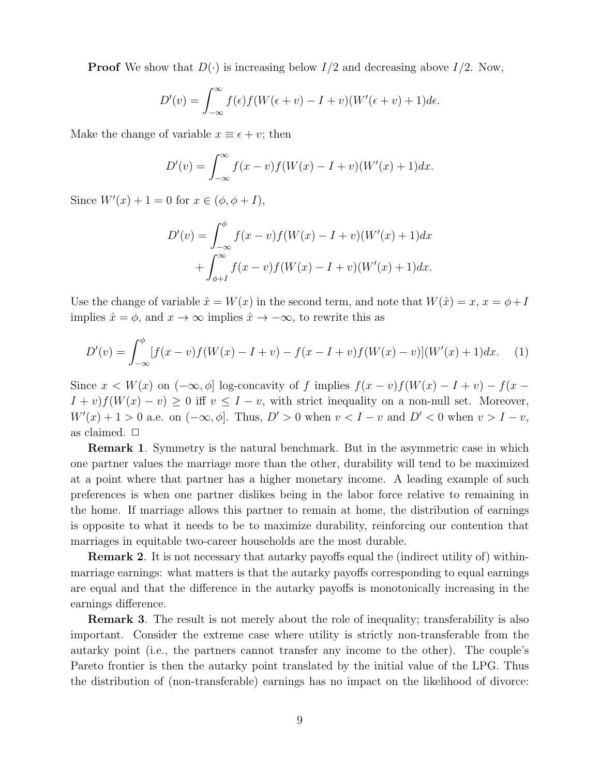**Proof** We show that  $D(\cdot)$  is increasing below  $I/2$  and decreasing above  $I/2$ . Now,

$$
D'(v) = \int_{-\infty}^{\infty} f(\epsilon) f(W(\epsilon + v) - I + v)(W'(\epsilon + v) + 1) d\epsilon.
$$

Make the change of variable  $x \equiv \epsilon + v$ ; then

$$
D'(v) = \int_{-\infty}^{\infty} f(x - v) f(W(x) - I + v)(W'(x) + 1) dx.
$$

Since  $W'(x) + 1 = 0$  for  $x \in (\phi, \phi + I)$ ,

$$
D'(v) = \int_{-\infty}^{\phi} f(x - v) f(W(x) - I + v)(W'(x) + 1) dx
$$
  
+ 
$$
\int_{\phi+I}^{\infty} f(x - v) f(W(x) - I + v)(W'(x) + 1) dx.
$$

Use the change of variable  $\hat{x} = W(x)$  in the second term, and note that  $W(\hat{x}) = x, x = \phi + I$ implies  $\hat{x} = \phi$ , and  $x \to \infty$  implies  $\hat{x} \to -\infty$ , to rewrite this as

$$
D'(v) = \int_{-\infty}^{\phi} [f(x - v)f(W(x) - I + v) - f(x - I + v)f(W(x) - v)](W'(x) + 1)dx.
$$
 (1)

Since  $x < W(x)$  on  $(-\infty, \phi]$  log-concavity of f implies  $f(x - v)f(W(x) - I + v) - f(x - v)$  $I + v$   $f(W(x) - v) \geq 0$  iff  $v \leq I - v$ , with strict inequality on a non-null set. Moreover,  $W'(x) + 1 > 0$  a.e. on  $(-\infty, \phi]$ . Thus,  $D' > 0$  when  $v < I - v$  and  $D' < 0$  when  $v > I - v$ , as claimed.  $\Box$ 

**Remark 1.** Symmetry is the natural benchmark. But in the asymmetric case in which one partner values the marriage more than the other, durability will tend to be maximized at a point where that partner has a higher monetary income. A leading example of such preferences is when one partner dislikes being in the labor force relative to remaining in the home. If marriage allows this partner to remain at home, the distribution of earnings is opposite to what it needs to be to maximize durability, reinforcing our contention that marriages in equitable two-career households are the most durable.

**Remark 2.** It is not necessary that autarky payoffs equal the (indirect utility of) withinmarriage earnings: what matters is that the autarky payoffs corresponding to equal earnings are equal and that the difference in the autarky payoffs is monotonically increasing in the earnings difference.

**Remark 3.** The result is not merely about the role of inequality; transferability is also important. Consider the extreme case where utility is strictly non-transferable from the autarky point (i.e., the partners cannot transfer any income to the other). The couple's Pareto frontier is then the autarky point translated by the initial value of the LPG. Thus the distribution of (non-transferable) earnings has no impact on the likelihood of divorce: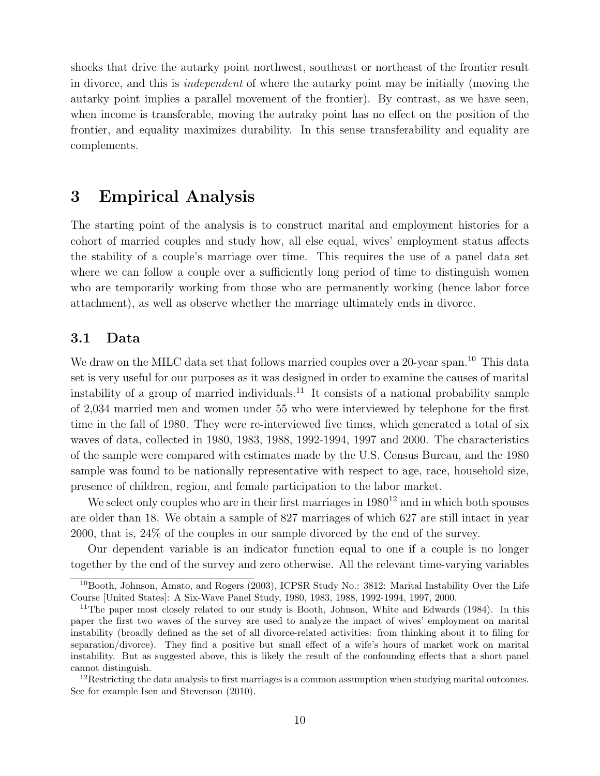shocks that drive the autarky point northwest, southeast or northeast of the frontier result in divorce, and this is independent of where the autarky point may be initially (moving the autarky point implies a parallel movement of the frontier). By contrast, as we have seen, when income is transferable, moving the autraky point has no effect on the position of the frontier, and equality maximizes durability. In this sense transferability and equality are complements.

## 3 Empirical Analysis

The starting point of the analysis is to construct marital and employment histories for a cohort of married couples and study how, all else equal, wives' employment status affects the stability of a couple's marriage over time. This requires the use of a panel data set where we can follow a couple over a sufficiently long period of time to distinguish women who are temporarily working from those who are permanently working (hence labor force attachment), as well as observe whether the marriage ultimately ends in divorce.

### 3.1 Data

We draw on the MILC data set that follows married couples over a 20-year span.<sup>10</sup> This data set is very useful for our purposes as it was designed in order to examine the causes of marital instability of a group of married individuals.<sup>11</sup> It consists of a national probability sample of 2,034 married men and women under 55 who were interviewed by telephone for the first time in the fall of 1980. They were re-interviewed five times, which generated a total of six waves of data, collected in 1980, 1983, 1988, 1992-1994, 1997 and 2000. The characteristics of the sample were compared with estimates made by the U.S. Census Bureau, and the 1980 sample was found to be nationally representative with respect to age, race, household size, presence of children, region, and female participation to the labor market.

We select only couples who are in their first marriages in  $1980^{12}$  and in which both spouses are older than 18. We obtain a sample of 827 marriages of which 627 are still intact in year 2000, that is, 24% of the couples in our sample divorced by the end of the survey.

Our dependent variable is an indicator function equal to one if a couple is no longer together by the end of the survey and zero otherwise. All the relevant time-varying variables

<sup>10</sup>Booth, Johnson, Amato, and Rogers (2003), ICPSR Study No.: 3812: Marital Instability Over the Life Course [United States]: A Six-Wave Panel Study, 1980, 1983, 1988, 1992-1994, 1997, 2000.

<sup>&</sup>lt;sup>11</sup>The paper most closely related to our study is Booth, Johnson, White and Edwards (1984). In this paper the first two waves of the survey are used to analyze the impact of wives' employment on marital instability (broadly defined as the set of all divorce-related activities: from thinking about it to filing for separation/divorce). They find a positive but small effect of a wife's hours of market work on marital instability. But as suggested above, this is likely the result of the confounding effects that a short panel cannot distinguish.

 $12$ Restricting the data analysis to first marriages is a common assumption when studying marital outcomes. See for example Isen and Stevenson (2010).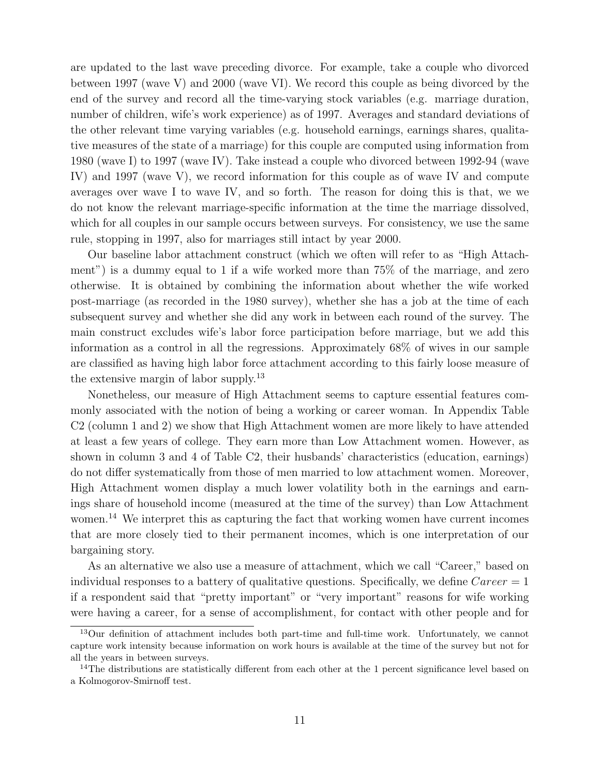are updated to the last wave preceding divorce. For example, take a couple who divorced between 1997 (wave V) and 2000 (wave VI). We record this couple as being divorced by the end of the survey and record all the time-varying stock variables (e.g. marriage duration, number of children, wife's work experience) as of 1997. Averages and standard deviations of the other relevant time varying variables (e.g. household earnings, earnings shares, qualitative measures of the state of a marriage) for this couple are computed using information from 1980 (wave I) to 1997 (wave IV). Take instead a couple who divorced between 1992-94 (wave IV) and 1997 (wave V), we record information for this couple as of wave IV and compute averages over wave I to wave IV, and so forth. The reason for doing this is that, we we do not know the relevant marriage-specific information at the time the marriage dissolved, which for all couples in our sample occurs between surveys. For consistency, we use the same rule, stopping in 1997, also for marriages still intact by year 2000.

Our baseline labor attachment construct (which we often will refer to as "High Attachment") is a dummy equal to 1 if a wife worked more than 75% of the marriage, and zero otherwise. It is obtained by combining the information about whether the wife worked post-marriage (as recorded in the 1980 survey), whether she has a job at the time of each subsequent survey and whether she did any work in between each round of the survey. The main construct excludes wife's labor force participation before marriage, but we add this information as a control in all the regressions. Approximately 68% of wives in our sample are classified as having high labor force attachment according to this fairly loose measure of the extensive margin of labor supply.<sup>13</sup>

Nonetheless, our measure of High Attachment seems to capture essential features commonly associated with the notion of being a working or career woman. In Appendix Table C2 (column 1 and 2) we show that High Attachment women are more likely to have attended at least a few years of college. They earn more than Low Attachment women. However, as shown in column 3 and 4 of Table C2, their husbands' characteristics (education, earnings) do not differ systematically from those of men married to low attachment women. Moreover, High Attachment women display a much lower volatility both in the earnings and earnings share of household income (measured at the time of the survey) than Low Attachment women.<sup>14</sup> We interpret this as capturing the fact that working women have current incomes that are more closely tied to their permanent incomes, which is one interpretation of our bargaining story.

As an alternative we also use a measure of attachment, which we call "Career," based on individual responses to a battery of qualitative questions. Specifically, we define  $Career = 1$ if a respondent said that "pretty important" or "very important" reasons for wife working were having a career, for a sense of accomplishment, for contact with other people and for

<sup>&</sup>lt;sup>13</sup>Our definition of attachment includes both part-time and full-time work. Unfortunately, we cannot capture work intensity because information on work hours is available at the time of the survey but not for all the years in between surveys.

<sup>&</sup>lt;sup>14</sup>The distributions are statistically different from each other at the 1 percent significance level based on a Kolmogorov-Smirnoff test.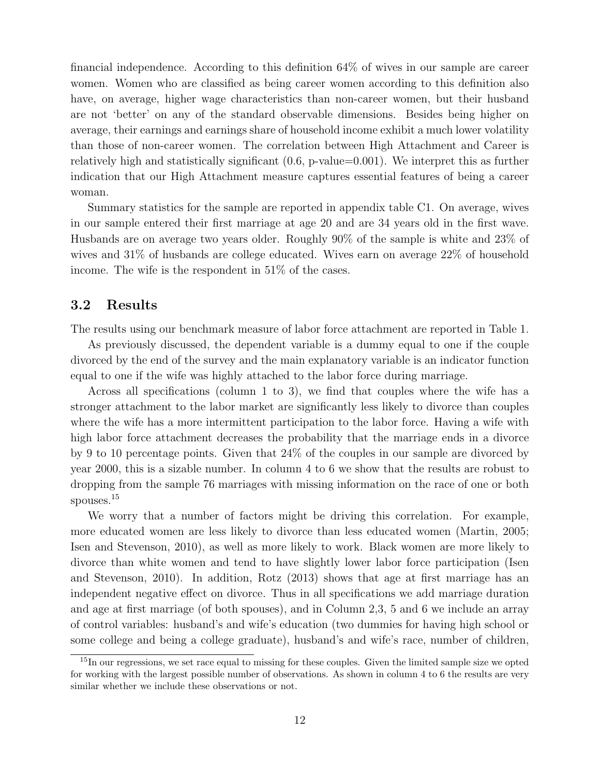financial independence. According to this definition 64% of wives in our sample are career women. Women who are classified as being career women according to this definition also have, on average, higher wage characteristics than non-career women, but their husband are not 'better' on any of the standard observable dimensions. Besides being higher on average, their earnings and earnings share of household income exhibit a much lower volatility than those of non-career women. The correlation between High Attachment and Career is relatively high and statistically significant (0.6, p-value=0.001). We interpret this as further indication that our High Attachment measure captures essential features of being a career woman.

Summary statistics for the sample are reported in appendix table C1. On average, wives in our sample entered their first marriage at age 20 and are 34 years old in the first wave. Husbands are on average two years older. Roughly 90% of the sample is white and 23% of wives and 31% of husbands are college educated. Wives earn on average 22% of household income. The wife is the respondent in 51% of the cases.

### 3.2 Results

The results using our benchmark measure of labor force attachment are reported in Table 1.

As previously discussed, the dependent variable is a dummy equal to one if the couple divorced by the end of the survey and the main explanatory variable is an indicator function equal to one if the wife was highly attached to the labor force during marriage.

Across all specifications (column 1 to 3), we find that couples where the wife has a stronger attachment to the labor market are significantly less likely to divorce than couples where the wife has a more intermittent participation to the labor force. Having a wife with high labor force attachment decreases the probability that the marriage ends in a divorce by 9 to 10 percentage points. Given that 24% of the couples in our sample are divorced by year 2000, this is a sizable number. In column 4 to 6 we show that the results are robust to dropping from the sample 76 marriages with missing information on the race of one or both spouses.<sup>15</sup>

We worry that a number of factors might be driving this correlation. For example, more educated women are less likely to divorce than less educated women (Martin, 2005; Isen and Stevenson, 2010), as well as more likely to work. Black women are more likely to divorce than white women and tend to have slightly lower labor force participation (Isen and Stevenson, 2010). In addition, Rotz (2013) shows that age at first marriage has an independent negative effect on divorce. Thus in all specifications we add marriage duration and age at first marriage (of both spouses), and in Column 2,3, 5 and 6 we include an array of control variables: husband's and wife's education (two dummies for having high school or some college and being a college graduate), husband's and wife's race, number of children,

<sup>&</sup>lt;sup>15</sup>In our regressions, we set race equal to missing for these couples. Given the limited sample size we opted for working with the largest possible number of observations. As shown in column 4 to 6 the results are very similar whether we include these observations or not.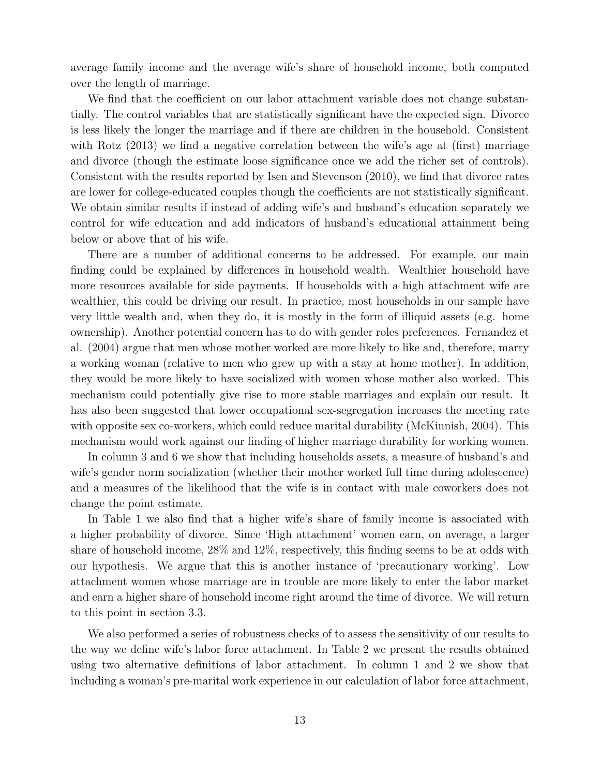average family income and the average wife's share of household income, both computed over the length of marriage.

We find that the coefficient on our labor attachment variable does not change substantially. The control variables that are statistically significant have the expected sign. Divorce is less likely the longer the marriage and if there are children in the household. Consistent with Rotz (2013) we find a negative correlation between the wife's age at (first) marriage and divorce (though the estimate loose significance once we add the richer set of controls). Consistent with the results reported by Isen and Stevenson (2010), we find that divorce rates are lower for college-educated couples though the coefficients are not statistically significant. We obtain similar results if instead of adding wife's and husband's education separately we control for wife education and add indicators of husband's educational attainment being below or above that of his wife.

There are a number of additional concerns to be addressed. For example, our main finding could be explained by differences in household wealth. Wealthier household have more resources available for side payments. If households with a high attachment wife are wealthier, this could be driving our result. In practice, most households in our sample have very little wealth and, when they do, it is mostly in the form of illiquid assets (e.g. home ownership). Another potential concern has to do with gender roles preferences. Fernandez et al. (2004) argue that men whose mother worked are more likely to like and, therefore, marry a working woman (relative to men who grew up with a stay at home mother). In addition, they would be more likely to have socialized with women whose mother also worked. This mechanism could potentially give rise to more stable marriages and explain our result. It has also been suggested that lower occupational sex-segregation increases the meeting rate with opposite sex co-workers, which could reduce marital durability (McKinnish, 2004). This mechanism would work against our finding of higher marriage durability for working women.

In column 3 and 6 we show that including households assets, a measure of husband's and wife's gender norm socialization (whether their mother worked full time during adolescence) and a measures of the likelihood that the wife is in contact with male coworkers does not change the point estimate.

In Table 1 we also find that a higher wife's share of family income is associated with a higher probability of divorce. Since 'High attachment' women earn, on average, a larger share of household income, 28% and 12%, respectively, this finding seems to be at odds with our hypothesis. We argue that this is another instance of 'precautionary working'. Low attachment women whose marriage are in trouble are more likely to enter the labor market and earn a higher share of household income right around the time of divorce. We will return to this point in section 3.3.

We also performed a series of robustness checks of to assess the sensitivity of our results to the way we define wife's labor force attachment. In Table 2 we present the results obtained using two alternative definitions of labor attachment. In column 1 and 2 we show that including a woman's pre-marital work experience in our calculation of labor force attachment,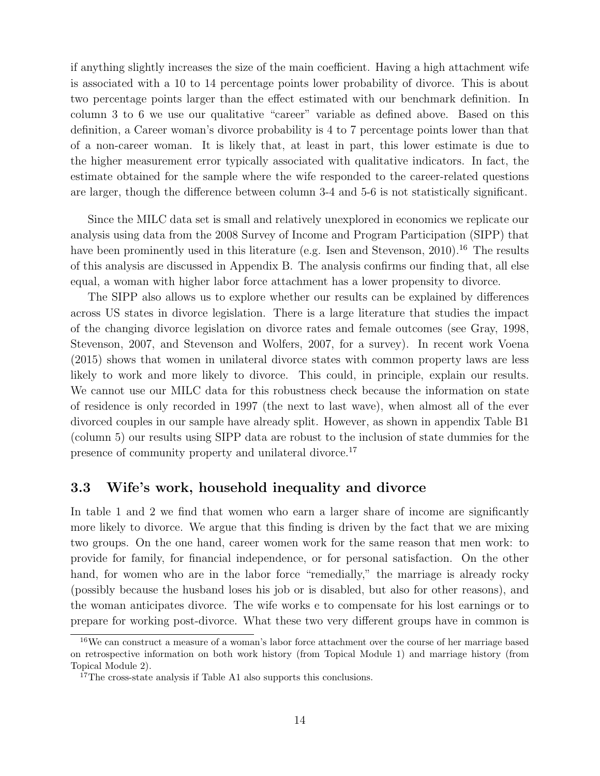if anything slightly increases the size of the main coefficient. Having a high attachment wife is associated with a 10 to 14 percentage points lower probability of divorce. This is about two percentage points larger than the effect estimated with our benchmark definition. In column 3 to 6 we use our qualitative "career" variable as defined above. Based on this definition, a Career woman's divorce probability is 4 to 7 percentage points lower than that of a non-career woman. It is likely that, at least in part, this lower estimate is due to the higher measurement error typically associated with qualitative indicators. In fact, the estimate obtained for the sample where the wife responded to the career-related questions are larger, though the difference between column 3-4 and 5-6 is not statistically significant.

Since the MILC data set is small and relatively unexplored in economics we replicate our analysis using data from the 2008 Survey of Income and Program Participation (SIPP) that have been prominently used in this literature (e.g. Isen and Stevenson, 2010).<sup>16</sup> The results of this analysis are discussed in Appendix B. The analysis confirms our finding that, all else equal, a woman with higher labor force attachment has a lower propensity to divorce.

The SIPP also allows us to explore whether our results can be explained by differences across US states in divorce legislation. There is a large literature that studies the impact of the changing divorce legislation on divorce rates and female outcomes (see Gray, 1998, Stevenson, 2007, and Stevenson and Wolfers, 2007, for a survey). In recent work Voena (2015) shows that women in unilateral divorce states with common property laws are less likely to work and more likely to divorce. This could, in principle, explain our results. We cannot use our MILC data for this robustness check because the information on state of residence is only recorded in 1997 (the next to last wave), when almost all of the ever divorced couples in our sample have already split. However, as shown in appendix Table B1 (column 5) our results using SIPP data are robust to the inclusion of state dummies for the presence of community property and unilateral divorce.<sup>17</sup>

### 3.3 Wife's work, household inequality and divorce

In table 1 and 2 we find that women who earn a larger share of income are significantly more likely to divorce. We argue that this finding is driven by the fact that we are mixing two groups. On the one hand, career women work for the same reason that men work: to provide for family, for financial independence, or for personal satisfaction. On the other hand, for women who are in the labor force "remedially," the marriage is already rocky (possibly because the husband loses his job or is disabled, but also for other reasons), and the woman anticipates divorce. The wife works e to compensate for his lost earnings or to prepare for working post-divorce. What these two very different groups have in common is

<sup>&</sup>lt;sup>16</sup>We can construct a measure of a woman's labor force attachment over the course of her marriage based on retrospective information on both work history (from Topical Module 1) and marriage history (from Topical Module 2).

 $17$ The cross-state analysis if Table A1 also supports this conclusions.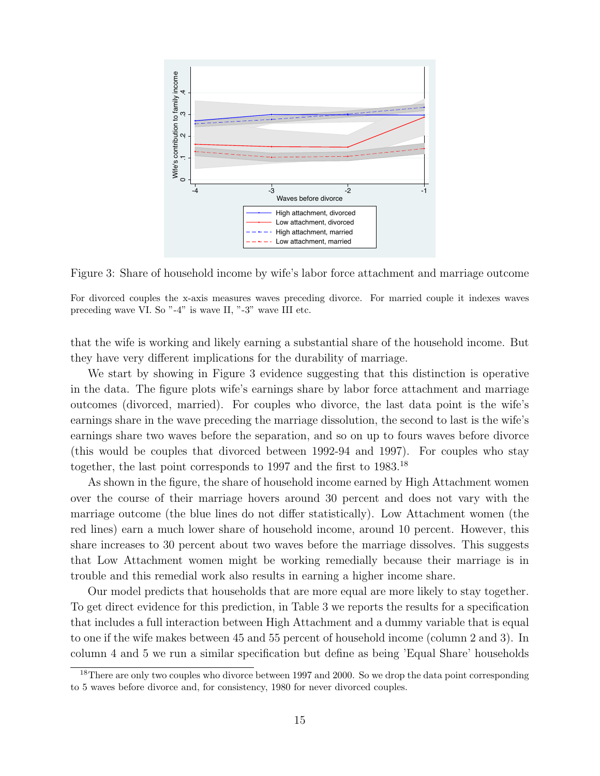

Figure 3: Share of household income by wife's labor force attachment and marriage outcome

For divorced couples the x-axis measures waves preceding divorce. For married couple it indexes waves preceding wave VI. So "-4" is wave II, "-3" wave III etc.

that the wife is working and likely earning a substantial share of the household income. But they have very different implications for the durability of marriage.

We start by showing in Figure 3 evidence suggesting that this distinction is operative in the data. The figure plots wife's earnings share by labor force attachment and marriage outcomes (divorced, married). For couples who divorce, the last data point is the wife's earnings share in the wave preceding the marriage dissolution, the second to last is the wife's earnings share two waves before the separation, and so on up to fours waves before divorce (this would be couples that divorced between 1992-94 and 1997). For couples who stay together, the last point corresponds to 1997 and the first to 1983.<sup>18</sup>

As shown in the figure, the share of household income earned by High Attachment women over the course of their marriage hovers around 30 percent and does not vary with the marriage outcome (the blue lines do not differ statistically). Low Attachment women (the red lines) earn a much lower share of household income, around 10 percent. However, this share increases to 30 percent about two waves before the marriage dissolves. This suggests that Low Attachment women might be working remedially because their marriage is in trouble and this remedial work also results in earning a higher income share.

Our model predicts that households that are more equal are more likely to stay together. To get direct evidence for this prediction, in Table 3 we reports the results for a specification that includes a full interaction between High Attachment and a dummy variable that is equal to one if the wife makes between 45 and 55 percent of household income (column 2 and 3). In column 4 and 5 we run a similar specification but define as being 'Equal Share' households

 $18$ There are only two couples who divorce between 1997 and 2000. So we drop the data point corresponding to 5 waves before divorce and, for consistency, 1980 for never divorced couples.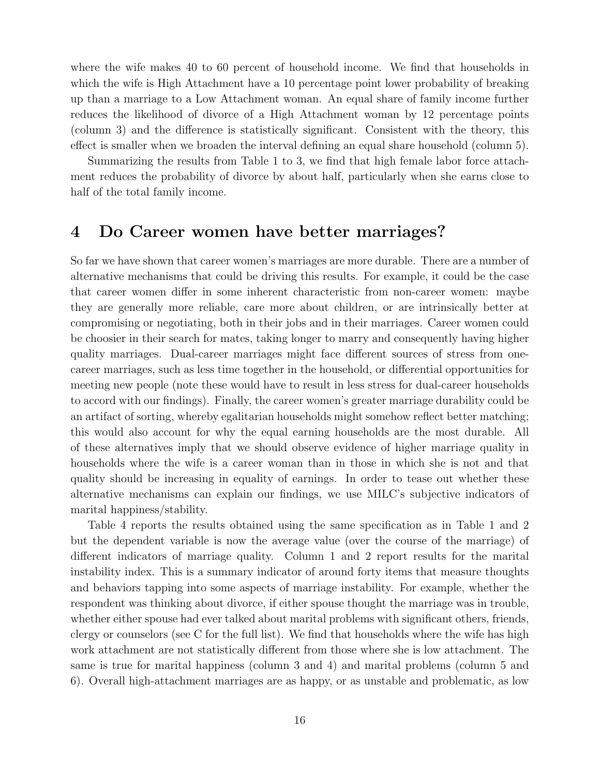where the wife makes 40 to 60 percent of household income. We find that households in which the wife is High Attachment have a 10 percentage point lower probability of breaking up than a marriage to a Low Attachment woman. An equal share of family income further reduces the likelihood of divorce of a High Attachment woman by 12 percentage points (column 3) and the difference is statistically significant. Consistent with the theory, this effect is smaller when we broaden the interval defining an equal share household (column 5).

Summarizing the results from Table 1 to 3, we find that high female labor force attachment reduces the probability of divorce by about half, particularly when she earns close to half of the total family income.

### 4 Do Career women have better marriages?

So far we have shown that career women's marriages are more durable. There are a number of alternative mechanisms that could be driving this results. For example, it could be the case that career women differ in some inherent characteristic from non-career women: maybe they are generally more reliable, care more about children, or are intrinsically better at compromising or negotiating, both in their jobs and in their marriages. Career women could be choosier in their search for mates, taking longer to marry and consequently having higher quality marriages. Dual-career marriages might face different sources of stress from onecareer marriages, such as less time together in the household, or differential opportunities for meeting new people (note these would have to result in less stress for dual-career households to accord with our findings). Finally, the career women's greater marriage durability could be an artifact of sorting, whereby egalitarian households might somehow reflect better matching; this would also account for why the equal earning households are the most durable. All of these alternatives imply that we should observe evidence of higher marriage quality in households where the wife is a career woman than in those in which she is not and that quality should be increasing in equality of earnings. In order to tease out whether these alternative mechanisms can explain our findings, we use MILC's subjective indicators of marital happiness/stability.

Table 4 reports the results obtained using the same specification as in Table 1 and 2 but the dependent variable is now the average value (over the course of the marriage) of different indicators of marriage quality. Column 1 and 2 report results for the marital instability index. This is a summary indicator of around forty items that measure thoughts and behaviors tapping into some aspects of marriage instability. For example, whether the respondent was thinking about divorce, if either spouse thought the marriage was in trouble, whether either spouse had ever talked about marital problems with significant others, friends, clergy or counselors (see C for the full list). We find that households where the wife has high work attachment are not statistically different from those where she is low attachment. The same is true for marital happiness (column 3 and 4) and marital problems (column 5 and 6). Overall high-attachment marriages are as happy, or as unstable and problematic, as low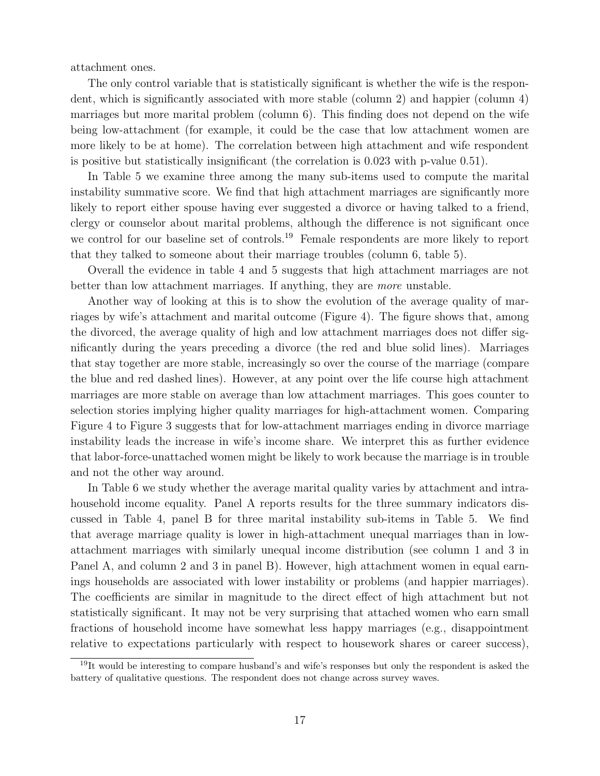attachment ones.

The only control variable that is statistically significant is whether the wife is the respondent, which is significantly associated with more stable (column 2) and happier (column 4) marriages but more marital problem (column 6). This finding does not depend on the wife being low-attachment (for example, it could be the case that low attachment women are more likely to be at home). The correlation between high attachment and wife respondent is positive but statistically insignificant (the correlation is 0.023 with p-value 0.51).

In Table 5 we examine three among the many sub-items used to compute the marital instability summative score. We find that high attachment marriages are significantly more likely to report either spouse having ever suggested a divorce or having talked to a friend, clergy or counselor about marital problems, although the difference is not significant once we control for our baseline set of controls.<sup>19</sup> Female respondents are more likely to report that they talked to someone about their marriage troubles (column 6, table 5).

Overall the evidence in table 4 and 5 suggests that high attachment marriages are not better than low attachment marriages. If anything, they are more unstable.

Another way of looking at this is to show the evolution of the average quality of marriages by wife's attachment and marital outcome (Figure 4). The figure shows that, among the divorced, the average quality of high and low attachment marriages does not differ significantly during the years preceding a divorce (the red and blue solid lines). Marriages that stay together are more stable, increasingly so over the course of the marriage (compare the blue and red dashed lines). However, at any point over the life course high attachment marriages are more stable on average than low attachment marriages. This goes counter to selection stories implying higher quality marriages for high-attachment women. Comparing Figure 4 to Figure 3 suggests that for low-attachment marriages ending in divorce marriage instability leads the increase in wife's income share. We interpret this as further evidence that labor-force-unattached women might be likely to work because the marriage is in trouble and not the other way around.

In Table 6 we study whether the average marital quality varies by attachment and intrahousehold income equality. Panel A reports results for the three summary indicators discussed in Table 4, panel B for three marital instability sub-items in Table 5. We find that average marriage quality is lower in high-attachment unequal marriages than in lowattachment marriages with similarly unequal income distribution (see column 1 and 3 in Panel A, and column 2 and 3 in panel B). However, high attachment women in equal earnings households are associated with lower instability or problems (and happier marriages). The coefficients are similar in magnitude to the direct effect of high attachment but not statistically significant. It may not be very surprising that attached women who earn small fractions of household income have somewhat less happy marriages (e.g., disappointment relative to expectations particularly with respect to housework shares or career success),

 $19$ It would be interesting to compare husband's and wife's responses but only the respondent is asked the battery of qualitative questions. The respondent does not change across survey waves.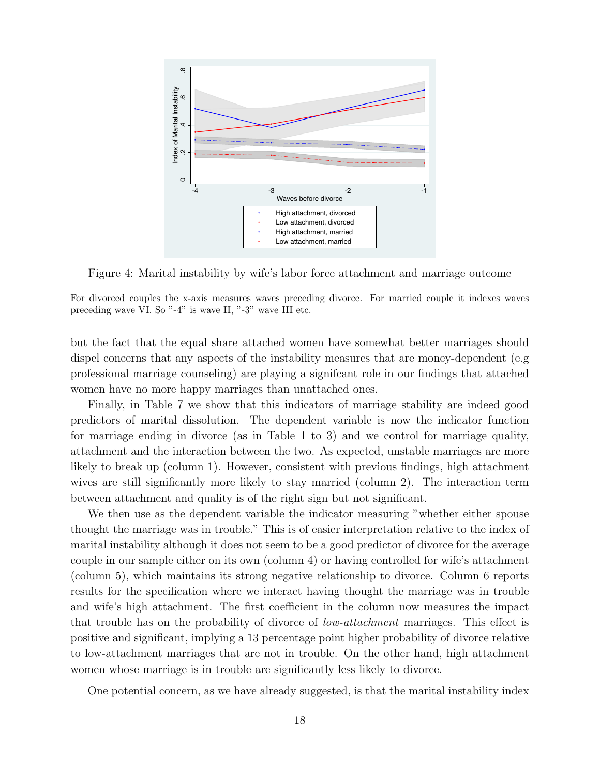

Figure 4: Marital instability by wife's labor force attachment and marriage outcome

For divorced couples the x-axis measures waves preceding divorce. For married couple it indexes waves preceding wave VI. So "-4" is wave II, "-3" wave III etc.

but the fact that the equal share attached women have somewhat better marriages should dispel concerns that any aspects of the instability measures that are money-dependent (e.g professional marriage counseling) are playing a signifcant role in our findings that attached women have no more happy marriages than unattached ones.

Finally, in Table 7 we show that this indicators of marriage stability are indeed good predictors of marital dissolution. The dependent variable is now the indicator function for marriage ending in divorce (as in Table 1 to 3) and we control for marriage quality, attachment and the interaction between the two. As expected, unstable marriages are more likely to break up (column 1). However, consistent with previous findings, high attachment wives are still significantly more likely to stay married (column 2). The interaction term between attachment and quality is of the right sign but not significant.

We then use as the dependent variable the indicator measuring "whether either spouse thought the marriage was in trouble." This is of easier interpretation relative to the index of marital instability although it does not seem to be a good predictor of divorce for the average couple in our sample either on its own (column 4) or having controlled for wife's attachment (column 5), which maintains its strong negative relationship to divorce. Column 6 reports results for the specification where we interact having thought the marriage was in trouble and wife's high attachment. The first coefficient in the column now measures the impact that trouble has on the probability of divorce of low-attachment marriages. This effect is positive and significant, implying a 13 percentage point higher probability of divorce relative to low-attachment marriages that are not in trouble. On the other hand, high attachment women whose marriage is in trouble are significantly less likely to divorce.

One potential concern, as we have already suggested, is that the marital instability index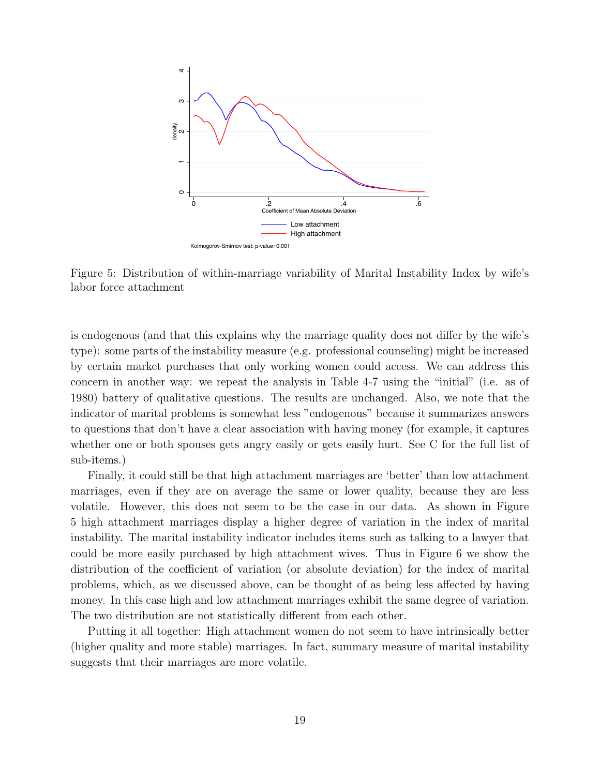

Figure 5: Distribution of within-marriage variability of Marital Instability Index by wife's labor force attachment

is endogenous (and that this explains why the marriage quality does not differ by the wife's type): some parts of the instability measure (e.g. professional counseling) might be increased by certain market purchases that only working women could access. We can address this concern in another way: we repeat the analysis in Table 4-7 using the "initial" (i.e. as of 1980) battery of qualitative questions. The results are unchanged. Also, we note that the indicator of marital problems is somewhat less "endogenous" because it summarizes answers to questions that don't have a clear association with having money (for example, it captures whether one or both spouses gets angry easily or gets easily hurt. See C for the full list of sub-items.)

Finally, it could still be that high attachment marriages are 'better' than low attachment marriages, even if they are on average the same or lower quality, because they are less volatile. However, this does not seem to be the case in our data. As shown in Figure 5 high attachment marriages display a higher degree of variation in the index of marital instability. The marital instability indicator includes items such as talking to a lawyer that could be more easily purchased by high attachment wives. Thus in Figure 6 we show the distribution of the coefficient of variation (or absolute deviation) for the index of marital problems, which, as we discussed above, can be thought of as being less affected by having money. In this case high and low attachment marriages exhibit the same degree of variation. The two distribution are not statistically different from each other.

Putting it all together: High attachment women do not seem to have intrinsically better (higher quality and more stable) marriages. In fact, summary measure of marital instability suggests that their marriages are more volatile.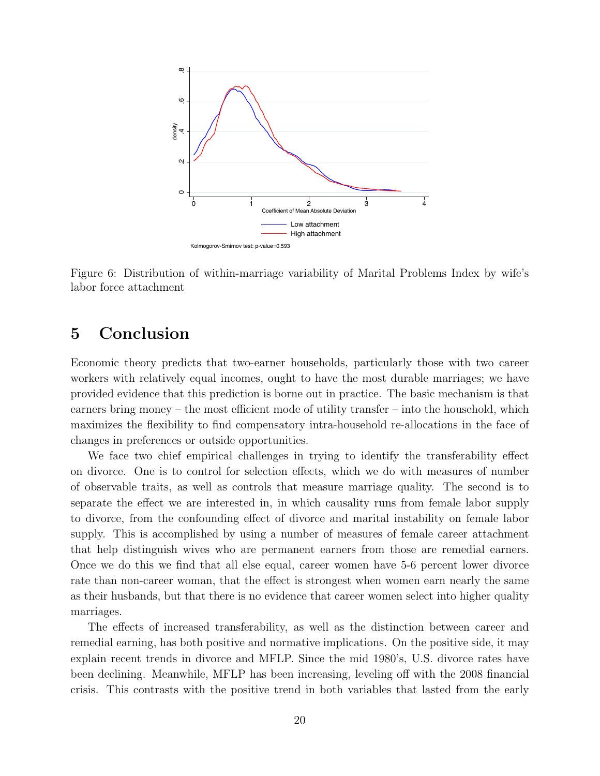

Figure 6: Distribution of within-marriage variability of Marital Problems Index by wife's labor force attachment

### 5 Conclusion

Economic theory predicts that two-earner households, particularly those with two career workers with relatively equal incomes, ought to have the most durable marriages; we have provided evidence that this prediction is borne out in practice. The basic mechanism is that earners bring money – the most efficient mode of utility transfer – into the household, which maximizes the flexibility to find compensatory intra-household re-allocations in the face of changes in preferences or outside opportunities.

We face two chief empirical challenges in trying to identify the transferability effect on divorce. One is to control for selection effects, which we do with measures of number of observable traits, as well as controls that measure marriage quality. The second is to separate the effect we are interested in, in which causality runs from female labor supply to divorce, from the confounding effect of divorce and marital instability on female labor supply. This is accomplished by using a number of measures of female career attachment that help distinguish wives who are permanent earners from those are remedial earners. Once we do this we find that all else equal, career women have 5-6 percent lower divorce rate than non-career woman, that the effect is strongest when women earn nearly the same as their husbands, but that there is no evidence that career women select into higher quality marriages.

The effects of increased transferability, as well as the distinction between career and remedial earning, has both positive and normative implications. On the positive side, it may explain recent trends in divorce and MFLP. Since the mid 1980's, U.S. divorce rates have been declining. Meanwhile, MFLP has been increasing, leveling off with the 2008 financial crisis. This contrasts with the positive trend in both variables that lasted from the early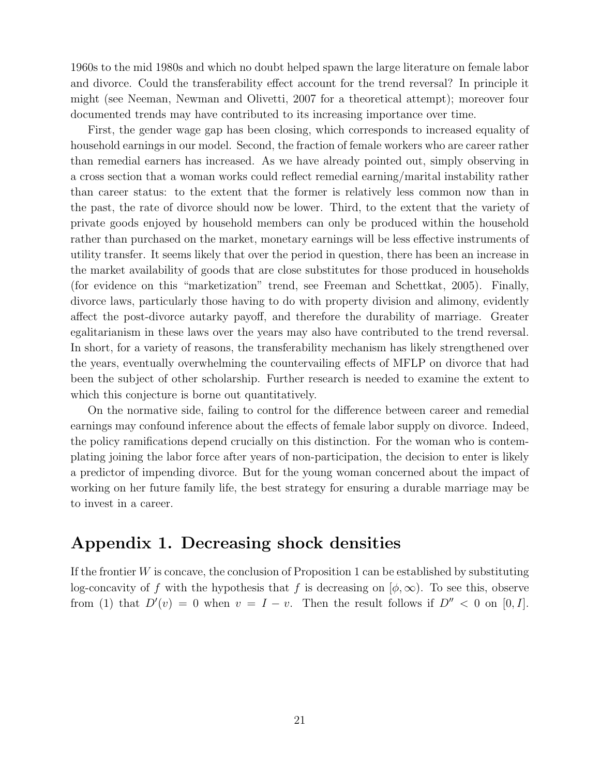1960s to the mid 1980s and which no doubt helped spawn the large literature on female labor and divorce. Could the transferability effect account for the trend reversal? In principle it might (see Neeman, Newman and Olivetti, 2007 for a theoretical attempt); moreover four documented trends may have contributed to its increasing importance over time.

First, the gender wage gap has been closing, which corresponds to increased equality of household earnings in our model. Second, the fraction of female workers who are career rather than remedial earners has increased. As we have already pointed out, simply observing in a cross section that a woman works could reflect remedial earning/marital instability rather than career status: to the extent that the former is relatively less common now than in the past, the rate of divorce should now be lower. Third, to the extent that the variety of private goods enjoyed by household members can only be produced within the household rather than purchased on the market, monetary earnings will be less effective instruments of utility transfer. It seems likely that over the period in question, there has been an increase in the market availability of goods that are close substitutes for those produced in households (for evidence on this "marketization" trend, see Freeman and Schettkat, 2005). Finally, divorce laws, particularly those having to do with property division and alimony, evidently affect the post-divorce autarky payoff, and therefore the durability of marriage. Greater egalitarianism in these laws over the years may also have contributed to the trend reversal. In short, for a variety of reasons, the transferability mechanism has likely strengthened over the years, eventually overwhelming the countervailing effects of MFLP on divorce that had been the subject of other scholarship. Further research is needed to examine the extent to which this conjecture is borne out quantitatively.

On the normative side, failing to control for the difference between career and remedial earnings may confound inference about the effects of female labor supply on divorce. Indeed, the policy ramifications depend crucially on this distinction. For the woman who is contemplating joining the labor force after years of non-participation, the decision to enter is likely a predictor of impending divorce. But for the young woman concerned about the impact of working on her future family life, the best strategy for ensuring a durable marriage may be to invest in a career.

### Appendix 1. Decreasing shock densities

If the frontier  $W$  is concave, the conclusion of Proposition 1 can be established by substituting log-concavity of f with the hypothesis that f is decreasing on  $(\phi, \infty)$ . To see this, observe from (1) that  $D'(v) = 0$  when  $v = I - v$ . Then the result follows if  $D'' < 0$  on [0, I].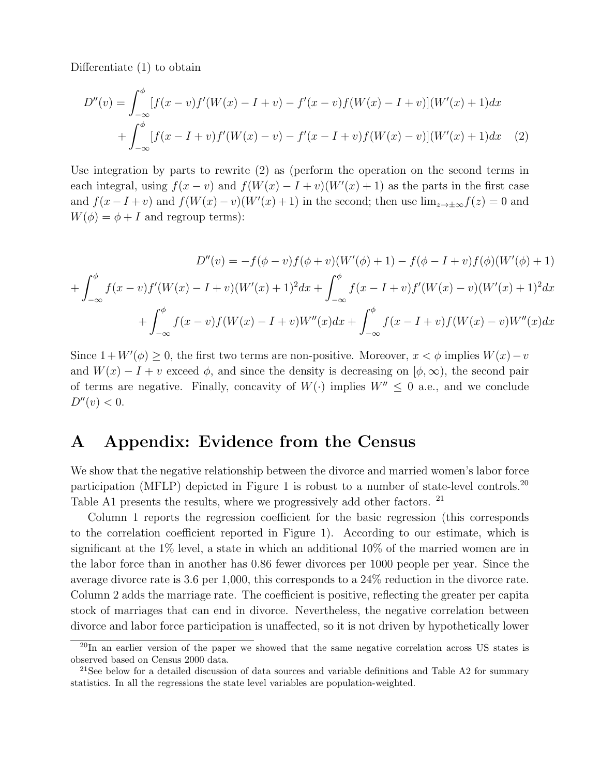Differentiate (1) to obtain

$$
D''(v) = \int_{-\infty}^{\phi} [f(x-v)f'(W(x) - I + v) - f'(x-v)f(W(x) - I + v)](W'(x) + 1)dx
$$
  
+ 
$$
\int_{-\infty}^{\phi} [f(x - I + v)f'(W(x) - v) - f'(x - I + v)f(W(x) - v)](W'(x) + 1)dx
$$
 (2)

Use integration by parts to rewrite (2) as (perform the operation on the second terms in each integral, using  $f(x - v)$  and  $f(W(x) - I + v)(W'(x) + 1)$  as the parts in the first case and  $f(x - I + v)$  and  $f(W(x) - v)(W'(x) + 1)$  in the second; then use  $\lim_{z \to \pm \infty} f(z) = 0$  and  $W(\phi) = \phi + I$  and regroup terms):

$$
D''(v) = -f(\phi - v)f(\phi + v)(W'(\phi) + 1) - f(\phi - I + v)f(\phi)(W'(\phi) + 1)
$$

$$
+ \int_{-\infty}^{\phi} f(x - v)f'(W(x) - I + v)(W'(x) + 1)^2 dx + \int_{-\infty}^{\phi} f(x - I + v)f'(W(x) - v)(W'(x) + 1)^2 dx
$$

$$
+ \int_{-\infty}^{\phi} f(x - v)f(W(x) - I + v)W''(x)dx + \int_{-\infty}^{\phi} f(x - I + v)f(W(x) - v)W''(x)dx
$$

Since  $1 + W'(\phi) \geq 0$ , the first two terms are non-positive. Moreover,  $x < \phi$  implies  $W(x) - v$ and  $W(x) - I + v$  exceed  $\phi$ , and since the density is decreasing on  $[\phi, \infty)$ , the second pair of terms are negative. Finally, concavity of  $W(\cdot)$  implies  $W'' \leq 0$  a.e., and we conclude  $D''(v) < 0.$ 

## A Appendix: Evidence from the Census

We show that the negative relationship between the divorce and married women's labor force participation (MFLP) depicted in Figure 1 is robust to a number of state-level controls.<sup>20</sup> Table A1 presents the results, where we progressively add other factors. <sup>21</sup>

Column 1 reports the regression coefficient for the basic regression (this corresponds to the correlation coefficient reported in Figure 1). According to our estimate, which is significant at the 1% level, a state in which an additional 10% of the married women are in the labor force than in another has 0.86 fewer divorces per 1000 people per year. Since the average divorce rate is 3.6 per 1,000, this corresponds to a 24% reduction in the divorce rate. Column 2 adds the marriage rate. The coefficient is positive, reflecting the greater per capita stock of marriages that can end in divorce. Nevertheless, the negative correlation between divorce and labor force participation is unaffected, so it is not driven by hypothetically lower

 $^{20}$ In an earlier version of the paper we showed that the same negative correlation across US states is observed based on Census 2000 data.

<sup>&</sup>lt;sup>21</sup>See below for a detailed discussion of data sources and variable definitions and Table A2 for summary statistics. In all the regressions the state level variables are population-weighted.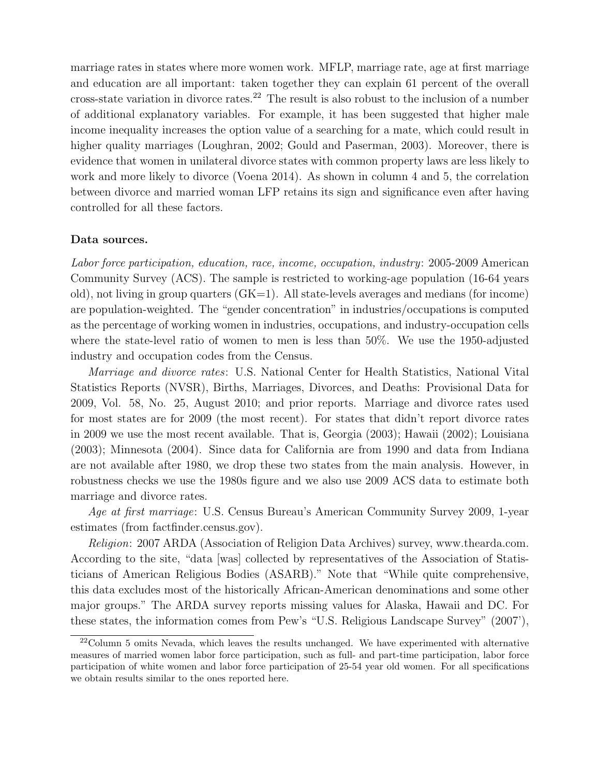marriage rates in states where more women work. MFLP, marriage rate, age at first marriage and education are all important: taken together they can explain 61 percent of the overall cross-state variation in divorce rates.<sup>22</sup> The result is also robust to the inclusion of a number of additional explanatory variables. For example, it has been suggested that higher male income inequality increases the option value of a searching for a mate, which could result in higher quality marriages (Loughran, 2002; Gould and Paserman, 2003). Moreover, there is evidence that women in unilateral divorce states with common property laws are less likely to work and more likely to divorce (Voena 2014). As shown in column 4 and 5, the correlation between divorce and married woman LFP retains its sign and significance even after having controlled for all these factors.

#### Data sources.

Labor force participation, education, race, income, occupation, industry: 2005-2009 American Community Survey (ACS). The sample is restricted to working-age population (16-64 years old), not living in group quarters  $(GK=1)$ . All state-levels averages and medians (for income) are population-weighted. The "gender concentration" in industries/occupations is computed as the percentage of working women in industries, occupations, and industry-occupation cells where the state-level ratio of women to men is less than 50%. We use the 1950-adjusted industry and occupation codes from the Census.

Marriage and divorce rates: U.S. National Center for Health Statistics, National Vital Statistics Reports (NVSR), Births, Marriages, Divorces, and Deaths: Provisional Data for 2009, Vol. 58, No. 25, August 2010; and prior reports. Marriage and divorce rates used for most states are for 2009 (the most recent). For states that didn't report divorce rates in 2009 we use the most recent available. That is, Georgia (2003); Hawaii (2002); Louisiana (2003); Minnesota (2004). Since data for California are from 1990 and data from Indiana are not available after 1980, we drop these two states from the main analysis. However, in robustness checks we use the 1980s figure and we also use 2009 ACS data to estimate both marriage and divorce rates.

Age at first marriage: U.S. Census Bureau's American Community Survey 2009, 1-year estimates (from factfinder.census.gov).

Religion: 2007 ARDA (Association of Religion Data Archives) survey, www.thearda.com. According to the site, "data [was] collected by representatives of the Association of Statisticians of American Religious Bodies (ASARB)." Note that "While quite comprehensive, this data excludes most of the historically African-American denominations and some other major groups." The ARDA survey reports missing values for Alaska, Hawaii and DC. For these states, the information comes from Pew's "U.S. Religious Landscape Survey" (2007'),

<sup>&</sup>lt;sup>22</sup>Column 5 omits Nevada, which leaves the results unchanged. We have experimented with alternative measures of married women labor force participation, such as full- and part-time participation, labor force participation of white women and labor force participation of 25-54 year old women. For all specifications we obtain results similar to the ones reported here.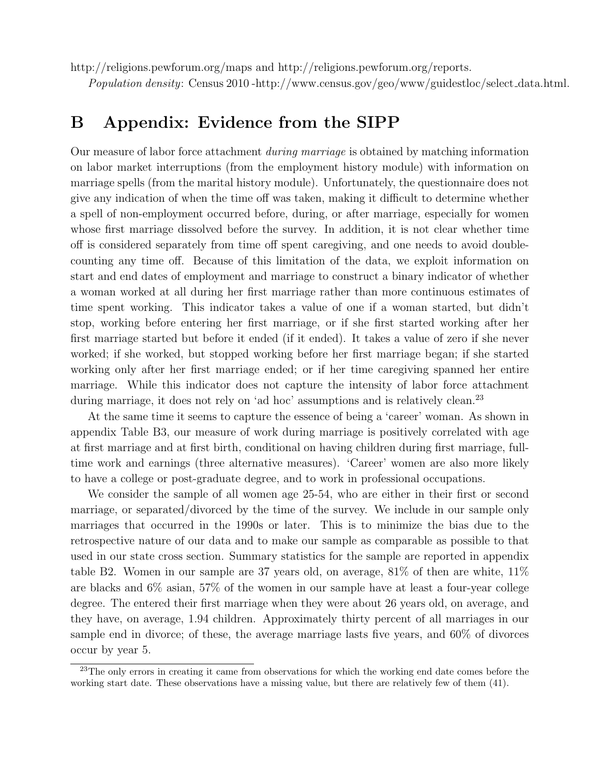http://religions.pewforum.org/maps and http://religions.pewforum.org/reports.

Population density: Census 2010 -http://www.census.gov/geo/www/guidestloc/select data.html.

## B Appendix: Evidence from the SIPP

Our measure of labor force attachment during marriage is obtained by matching information on labor market interruptions (from the employment history module) with information on marriage spells (from the marital history module). Unfortunately, the questionnaire does not give any indication of when the time off was taken, making it difficult to determine whether a spell of non-employment occurred before, during, or after marriage, especially for women whose first marriage dissolved before the survey. In addition, it is not clear whether time off is considered separately from time off spent caregiving, and one needs to avoid doublecounting any time off. Because of this limitation of the data, we exploit information on start and end dates of employment and marriage to construct a binary indicator of whether a woman worked at all during her first marriage rather than more continuous estimates of time spent working. This indicator takes a value of one if a woman started, but didn't stop, working before entering her first marriage, or if she first started working after her first marriage started but before it ended (if it ended). It takes a value of zero if she never worked; if she worked, but stopped working before her first marriage began; if she started working only after her first marriage ended; or if her time caregiving spanned her entire marriage. While this indicator does not capture the intensity of labor force attachment during marriage, it does not rely on 'ad hoc' assumptions and is relatively clean.<sup>23</sup>

At the same time it seems to capture the essence of being a 'career' woman. As shown in appendix Table B3, our measure of work during marriage is positively correlated with age at first marriage and at first birth, conditional on having children during first marriage, fulltime work and earnings (three alternative measures). 'Career' women are also more likely to have a college or post-graduate degree, and to work in professional occupations.

We consider the sample of all women age 25-54, who are either in their first or second marriage, or separated/divorced by the time of the survey. We include in our sample only marriages that occurred in the 1990s or later. This is to minimize the bias due to the retrospective nature of our data and to make our sample as comparable as possible to that used in our state cross section. Summary statistics for the sample are reported in appendix table B2. Women in our sample are 37 years old, on average, 81% of then are white, 11% are blacks and 6% asian, 57% of the women in our sample have at least a four-year college degree. The entered their first marriage when they were about 26 years old, on average, and they have, on average, 1.94 children. Approximately thirty percent of all marriages in our sample end in divorce; of these, the average marriage lasts five years, and 60% of divorces occur by year 5.

<sup>&</sup>lt;sup>23</sup>The only errors in creating it came from observations for which the working end date comes before the working start date. These observations have a missing value, but there are relatively few of them (41).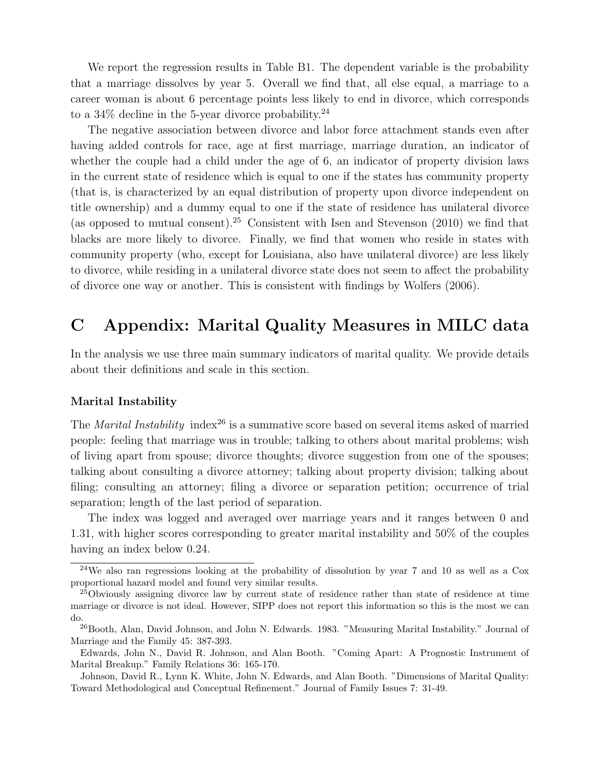We report the regression results in Table B1. The dependent variable is the probability that a marriage dissolves by year 5. Overall we find that, all else equal, a marriage to a career woman is about 6 percentage points less likely to end in divorce, which corresponds to a  $34\%$  decline in the 5-year divorce probability.<sup>24</sup>

The negative association between divorce and labor force attachment stands even after having added controls for race, age at first marriage, marriage duration, an indicator of whether the couple had a child under the age of 6, an indicator of property division laws in the current state of residence which is equal to one if the states has community property (that is, is characterized by an equal distribution of property upon divorce independent on title ownership) and a dummy equal to one if the state of residence has unilateral divorce (as opposed to mutual consent).<sup>25</sup> Consistent with Isen and Stevenson  $(2010)$  we find that blacks are more likely to divorce. Finally, we find that women who reside in states with community property (who, except for Louisiana, also have unilateral divorce) are less likely to divorce, while residing in a unilateral divorce state does not seem to affect the probability of divorce one way or another. This is consistent with findings by Wolfers (2006).

## C Appendix: Marital Quality Measures in MILC data

In the analysis we use three main summary indicators of marital quality. We provide details about their definitions and scale in this section.

#### Marital Instability

The *Marital Instability* index<sup>26</sup> is a summative score based on several items asked of married people: feeling that marriage was in trouble; talking to others about marital problems; wish of living apart from spouse; divorce thoughts; divorce suggestion from one of the spouses; talking about consulting a divorce attorney; talking about property division; talking about filing; consulting an attorney; filing a divorce or separation petition; occurrence of trial separation; length of the last period of separation.

The index was logged and averaged over marriage years and it ranges between 0 and 1.31, with higher scores corresponding to greater marital instability and 50% of the couples having an index below 0.24.

<sup>24</sup>We also ran regressions looking at the probability of dissolution by year 7 and 10 as well as a Cox proportional hazard model and found very similar results.

<sup>&</sup>lt;sup>25</sup>Obviously assigning divorce law by current state of residence rather than state of residence at time marriage or divorce is not ideal. However, SIPP does not report this information so this is the most we can do.

<sup>&</sup>lt;sup>26</sup>Booth, Alan, David Johnson, and John N. Edwards. 1983. "Measuring Marital Instability." Journal of Marriage and the Family 45: 387-393.

Edwards, John N., David R. Johnson, and Alan Booth. "Coming Apart: A Prognostic Instrument of Marital Breakup." Family Relations 36: 165-170.

Johnson, David R., Lynn K. White, John N. Edwards, and Alan Booth. "Dimensions of Marital Quality: Toward Methodological and Conceptual Refinement." Journal of Family Issues 7: 31-49.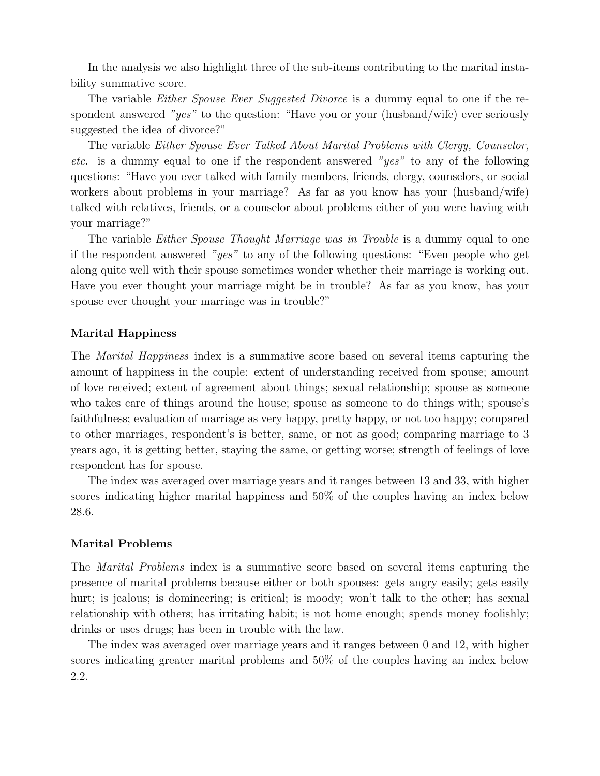In the analysis we also highlight three of the sub-items contributing to the marital instability summative score.

The variable *Either Spouse Ever Suggested Divorce* is a dummy equal to one if the respondent answered "yes" to the question: "Have you or your (husband/wife) ever seriously suggested the idea of divorce?"

The variable Either Spouse Ever Talked About Marital Problems with Clergy, Counselor, etc. is a dummy equal to one if the respondent answered "yes" to any of the following questions: "Have you ever talked with family members, friends, clergy, counselors, or social workers about problems in your marriage? As far as you know has your (husband/wife) talked with relatives, friends, or a counselor about problems either of you were having with your marriage?"

The variable *Either Spouse Thought Marriage was in Trouble* is a dummy equal to one if the respondent answered "yes" to any of the following questions: "Even people who get along quite well with their spouse sometimes wonder whether their marriage is working out. Have you ever thought your marriage might be in trouble? As far as you know, has your spouse ever thought your marriage was in trouble?"

#### Marital Happiness

The Marital Happiness index is a summative score based on several items capturing the amount of happiness in the couple: extent of understanding received from spouse; amount of love received; extent of agreement about things; sexual relationship; spouse as someone who takes care of things around the house; spouse as someone to do things with; spouse's faithfulness; evaluation of marriage as very happy, pretty happy, or not too happy; compared to other marriages, respondent's is better, same, or not as good; comparing marriage to 3 years ago, it is getting better, staying the same, or getting worse; strength of feelings of love respondent has for spouse.

The index was averaged over marriage years and it ranges between 13 and 33, with higher scores indicating higher marital happiness and 50% of the couples having an index below 28.6.

### Marital Problems

The Marital Problems index is a summative score based on several items capturing the presence of marital problems because either or both spouses: gets angry easily; gets easily hurt; is jealous; is domineering; is critical; is moody; won't talk to the other; has sexual relationship with others; has irritating habit; is not home enough; spends money foolishly; drinks or uses drugs; has been in trouble with the law.

The index was averaged over marriage years and it ranges between 0 and 12, with higher scores indicating greater marital problems and 50% of the couples having an index below 2.2.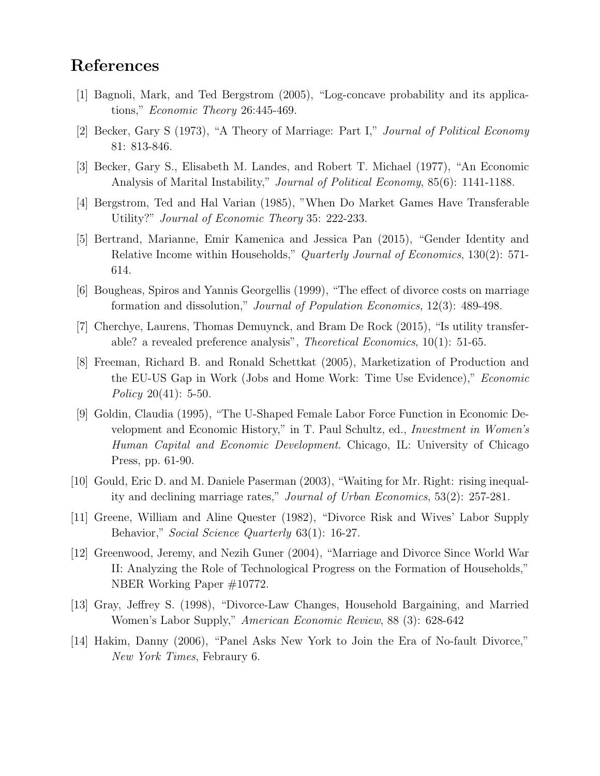## References

- [1] Bagnoli, Mark, and Ted Bergstrom (2005), "Log-concave probability and its applications," Economic Theory 26:445-469.
- [2] Becker, Gary S (1973), "A Theory of Marriage: Part I," Journal of Political Economy 81: 813-846.
- [3] Becker, Gary S., Elisabeth M. Landes, and Robert T. Michael (1977), "An Economic Analysis of Marital Instability," Journal of Political Economy, 85(6): 1141-1188.
- [4] Bergstrom, Ted and Hal Varian (1985), "When Do Market Games Have Transferable Utility?" Journal of Economic Theory 35: 222-233.
- [5] Bertrand, Marianne, Emir Kamenica and Jessica Pan (2015), "Gender Identity and Relative Income within Households," Quarterly Journal of Economics, 130(2): 571- 614.
- [6] Bougheas, Spiros and Yannis Georgellis (1999), "The effect of divorce costs on marriage formation and dissolution," Journal of Population Economics, 12(3): 489-498.
- [7] Cherchye, Laurens, Thomas Demuynck, and Bram De Rock (2015), "Is utility transferable? a revealed preference analysis", Theoretical Economics, 10(1): 51-65.
- [8] Freeman, Richard B. and Ronald Schettkat (2005), Marketization of Production and the EU-US Gap in Work (Jobs and Home Work: Time Use Evidence)," Economic Policy 20(41):  $5-50$ .
- [9] Goldin, Claudia (1995), "The U-Shaped Female Labor Force Function in Economic Development and Economic History," in T. Paul Schultz, ed., Investment in Women's Human Capital and Economic Development. Chicago, IL: University of Chicago Press, pp. 61-90.
- [10] Gould, Eric D. and M. Daniele Paserman (2003), "Waiting for Mr. Right: rising inequality and declining marriage rates," Journal of Urban Economics, 53(2): 257-281.
- [11] Greene, William and Aline Quester (1982), "Divorce Risk and Wives' Labor Supply Behavior," Social Science Quarterly 63(1): 16-27.
- [12] Greenwood, Jeremy, and Nezih Guner (2004), "Marriage and Divorce Since World War II: Analyzing the Role of Technological Progress on the Formation of Households," NBER Working Paper #10772.
- [13] Gray, Jeffrey S. (1998), "Divorce-Law Changes, Household Bargaining, and Married Women's Labor Supply," American Economic Review, 88 (3): 628-642
- [14] Hakim, Danny (2006), "Panel Asks New York to Join the Era of No-fault Divorce," New York Times, Febraury 6.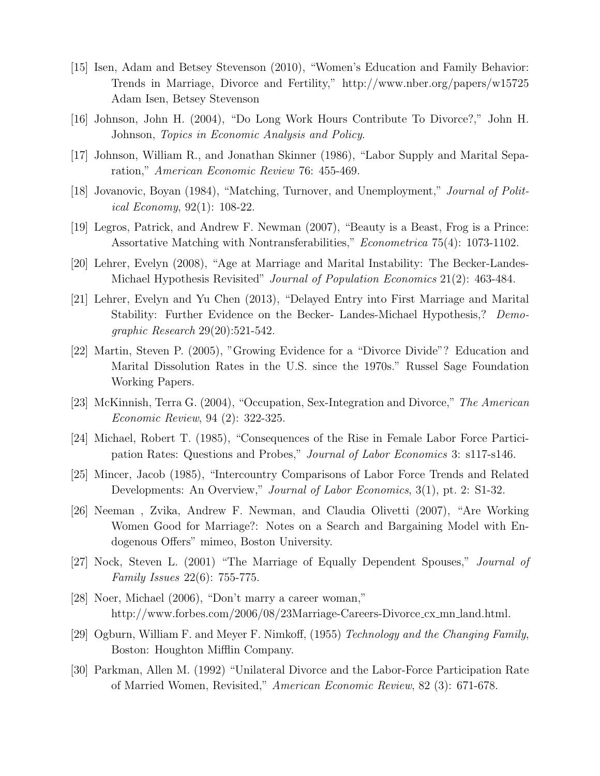- [15] Isen, Adam and Betsey Stevenson (2010), "Women's Education and Family Behavior: Trends in Marriage, Divorce and Fertility," http://www.nber.org/papers/w15725 Adam Isen, Betsey Stevenson
- [16] Johnson, John H. (2004), "Do Long Work Hours Contribute To Divorce?," John H. Johnson, Topics in Economic Analysis and Policy.
- [17] Johnson, William R., and Jonathan Skinner (1986), "Labor Supply and Marital Separation," American Economic Review 76: 455-469.
- [18] Jovanovic, Boyan (1984), "Matching, Turnover, and Unemployment," Journal of Political Economy, 92(1): 108-22.
- [19] Legros, Patrick, and Andrew F. Newman (2007), "Beauty is a Beast, Frog is a Prince: Assortative Matching with Nontransferabilities," Econometrica 75(4): 1073-1102.
- [20] Lehrer, Evelyn (2008), "Age at Marriage and Marital Instability: The Becker-Landes-Michael Hypothesis Revisited" *Journal of Population Economics* 21(2): 463-484.
- [21] Lehrer, Evelyn and Yu Chen (2013), "Delayed Entry into First Marriage and Marital Stability: Further Evidence on the Becker- Landes-Michael Hypothesis,? Demographic Research 29(20):521-542.
- [22] Martin, Steven P. (2005), "Growing Evidence for a "Divorce Divide"? Education and Marital Dissolution Rates in the U.S. since the 1970s." Russel Sage Foundation Working Papers.
- [23] McKinnish, Terra G. (2004), "Occupation, Sex-Integration and Divorce," The American Economic Review, 94 (2): 322-325.
- [24] Michael, Robert T. (1985), "Consequences of the Rise in Female Labor Force Participation Rates: Questions and Probes," Journal of Labor Economics 3: s117-s146.
- [25] Mincer, Jacob (1985), "Intercountry Comparisons of Labor Force Trends and Related Developments: An Overview," Journal of Labor Economics, 3(1), pt. 2: S1-32.
- [26] Neeman , Zvika, Andrew F. Newman, and Claudia Olivetti (2007), "Are Working Women Good for Marriage?: Notes on a Search and Bargaining Model with Endogenous Offers" mimeo, Boston University.
- [27] Nock, Steven L. (2001) "The Marriage of Equally Dependent Spouses," Journal of Family Issues 22(6): 755-775.
- [28] Noer, Michael (2006), "Don't marry a career woman," http://www.forbes.com/2006/08/23Marriage-Careers-Divorce cx mn land.html.
- [29] Ogburn, William F. and Meyer F. Nimkoff, (1955) Technology and the Changing Family, Boston: Houghton Mifflin Company.
- [30] Parkman, Allen M. (1992) "Unilateral Divorce and the Labor-Force Participation Rate of Married Women, Revisited," American Economic Review, 82 (3): 671-678.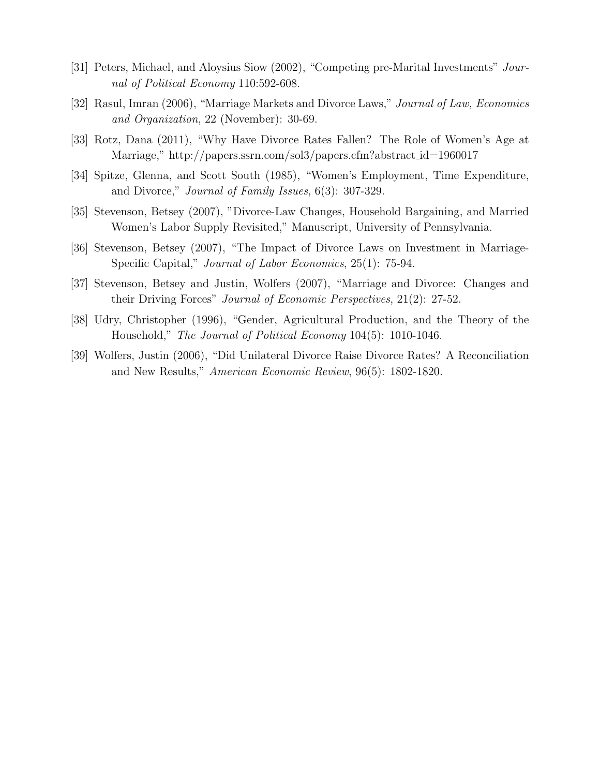- [31] Peters, Michael, and Aloysius Siow (2002), "Competing pre-Marital Investments" Journal of Political Economy 110:592-608.
- [32] Rasul, Imran (2006), "Marriage Markets and Divorce Laws," Journal of Law, Economics and Organization, 22 (November): 30-69.
- [33] Rotz, Dana (2011), "Why Have Divorce Rates Fallen? The Role of Women's Age at Marriage," http://papers.ssrn.com/sol3/papers.cfm?abstract id=1960017
- [34] Spitze, Glenna, and Scott South (1985), "Women's Employment, Time Expenditure, and Divorce," Journal of Family Issues, 6(3): 307-329.
- [35] Stevenson, Betsey (2007), "Divorce-Law Changes, Household Bargaining, and Married Women's Labor Supply Revisited," Manuscript, University of Pennsylvania.
- [36] Stevenson, Betsey (2007), "The Impact of Divorce Laws on Investment in Marriage-Specific Capital," Journal of Labor Economics, 25(1): 75-94.
- [37] Stevenson, Betsey and Justin, Wolfers (2007), "Marriage and Divorce: Changes and their Driving Forces" Journal of Economic Perspectives, 21(2): 27-52.
- [38] Udry, Christopher (1996), "Gender, Agricultural Production, and the Theory of the Household," The Journal of Political Economy 104(5): 1010-1046.
- [39] Wolfers, Justin (2006), "Did Unilateral Divorce Raise Divorce Rates? A Reconciliation and New Results," American Economic Review, 96(5): 1802-1820.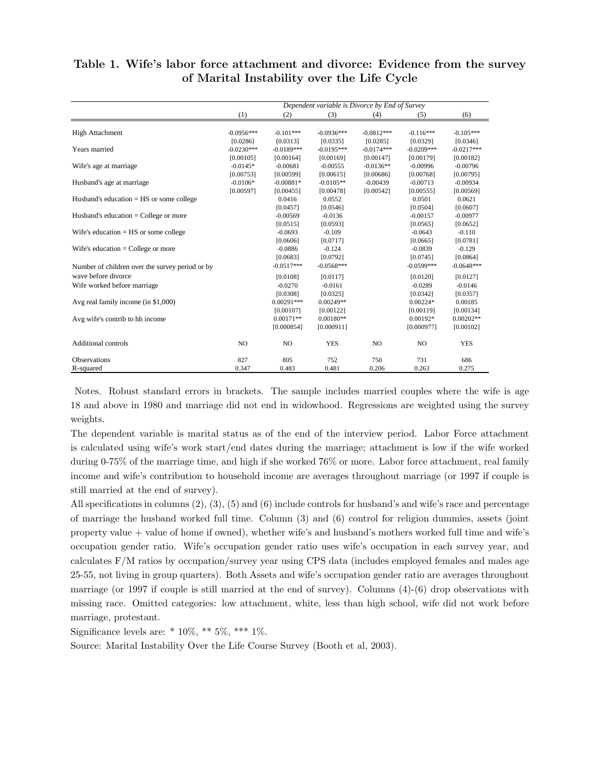|                                                 | Dependent variable is Divorce by End of Survey |                |                          |                          |                         |                         |
|-------------------------------------------------|------------------------------------------------|----------------|--------------------------|--------------------------|-------------------------|-------------------------|
|                                                 | (1)                                            | (2)            | (3)                      | (4)                      | (5)                     | (6)                     |
|                                                 |                                                | $-0.101***$    |                          |                          |                         |                         |
| <b>High Attachment</b>                          | $-0.0956***$                                   | [0.0313]       | $-0.0936***$<br>[0.0335] | $-0.0812***$<br>[0.0285] | $-0.116***$<br>[0.0329] | $-0.105***$<br>[0.0346] |
| Years married                                   | [0.0286]<br>$-0.0230***$                       | $-0.0189***$   | $-0.0195***$             | $-0.0174***$             | $-0.0209***$            | $-0.0217***$            |
|                                                 |                                                |                |                          |                          |                         |                         |
|                                                 | [0.00105]<br>$-0.0145*$                        | [0.00164]      | [0.00169]                | [0.00147]                | [0.00179]               | [0.00182]               |
| Wife's age at marriage                          |                                                | $-0.00681$     | $-0.00555$               | $-0.0136**$              | $-0.00996$              | $-0.00796$              |
|                                                 | [0.00753]                                      | [0.00599]      | [0.00615]                | [0.00686]                | [0.00768]               | [0.00795]               |
| Husband's age at marriage                       | $-0.0106*$                                     | $-0.00881*$    | $-0.0105**$              | $-0.00439$               | $-0.00713$              | $-0.00934$              |
|                                                 | [0.00597]                                      | [0.00455]      | [0.00478]                | [0.00542]                | [0.00555]               | [0.00569]               |
| Husband's education $=$ HS or some college      |                                                | 0.0416         | 0.0552                   |                          | 0.0501                  | 0.0621                  |
|                                                 |                                                | [0.0457]       | [0.0546]                 |                          | [0.0504]                | [0.0607]                |
| Husband's education $=$ College or more         |                                                | $-0.00569$     | $-0.0136$                |                          | $-0.00157$              | $-0.00977$              |
|                                                 |                                                | [0.0515]       | [0.0593]                 |                          | [0.0565]                | [0.0652]                |
| Wife's education $=$ HS or some college         |                                                | $-0.0693$      | $-0.109$                 |                          | $-0.0643$               | $-0.110$                |
|                                                 |                                                | [0.0606]       | [0.0717]                 |                          | [0.0665]                | [0.0781]                |
| Wife's education $=$ College or more            |                                                | $-0.0886$      | $-0.124$                 |                          | $-0.0839$               | $-0.129$                |
|                                                 |                                                | [0.0683]       | [0.0792]                 |                          | [0.0745]                | [0.0864]                |
| Number of children over the survey period or by |                                                | $-0.0517***$   | $-0.0568***$             |                          | $-0.0599***$            | $-0.0648***$            |
| wave before divorce                             |                                                | [0.0108]       | [0.0117]                 |                          | [0.0120]                | [0.0127]                |
| Wife worked before marriage                     |                                                | $-0.0270$      | $-0.0161$                |                          | $-0.0289$               | $-0.0146$               |
|                                                 |                                                | [0.0308]       | [0.0325]                 |                          | [0.0342]                | [0.0357]                |
| Avg real family income (in \$1,000)             |                                                | $0.00291***$   | $0.00249**$              |                          | $0.00224*$              | 0.00185                 |
|                                                 |                                                | [0.00107]      | [0.00122]                |                          | [0.00119]               | [0.00134]               |
| Avg wife's contrib to hh income                 |                                                | $0.00171**$    | $0.00180**$              |                          | $0.00192*$              | $0.00202**$             |
|                                                 |                                                | [0.000854]     | [0.000911]               |                          | [0.000977]              | [0.00102]               |
| <b>Additional controls</b>                      | N <sub>O</sub>                                 | N <sub>O</sub> | <b>YES</b>               | N <sub>O</sub>           | NO.                     | <b>YES</b>              |
| <b>Observations</b>                             | 827                                            | 805            | 752                      | 750                      | 731                     | 686                     |
| R-squared                                       | 0.347                                          | 0.483          | 0.481                    | 0.206                    | 0.263                   | 0.275                   |

### Table 1. Wife's labor force attachment and divorce: Evidence from the survey of Marital Instability over the Life Cycle

Notes. Robust standard errors in brackets. The sample includes married couples where the wife is age 18 and above in 1980 and marriage did not end in widowhood. Regressions are weighted using the survey weights.

The dependent variable is marital status as of the end of the interview period. Labor Force attachment is calculated using wife's work start/end dates during the marriage; attachment is low if the wife worked during 0-75% of the marriage time, and high if she worked 76% or more. Labor force attachment, real family income and wife's contribution to household income are averages throughout marriage (or 1997 if couple is still married at the end of survey).

All specifications in columns (2), (3), (5) and (6) include controls for husband's and wife's race and percentage of marriage the husband worked full time. Column (3) and (6) control for religion dummies, assets (joint property value + value of home if owned), whether wife's and husband's mothers worked full time and wife's occupation gender ratio. Wife's occupation gender ratio uses wife's occupation in each survey year, and calculates F/M ratios by occupation/survey year using CPS data (includes employed females and males age 25-55, not living in group quarters). Both Assets and wife's occupation gender ratio are averages throughout marriage (or 1997 if couple is still married at the end of survey). Columns (4)-(6) drop observations with missing race. Omitted categories: low attachment, white, less than high school, wife did not work before marriage, protestant.

Significance levels are:  $* 10\%, ** 5\%, *** 1\%$ .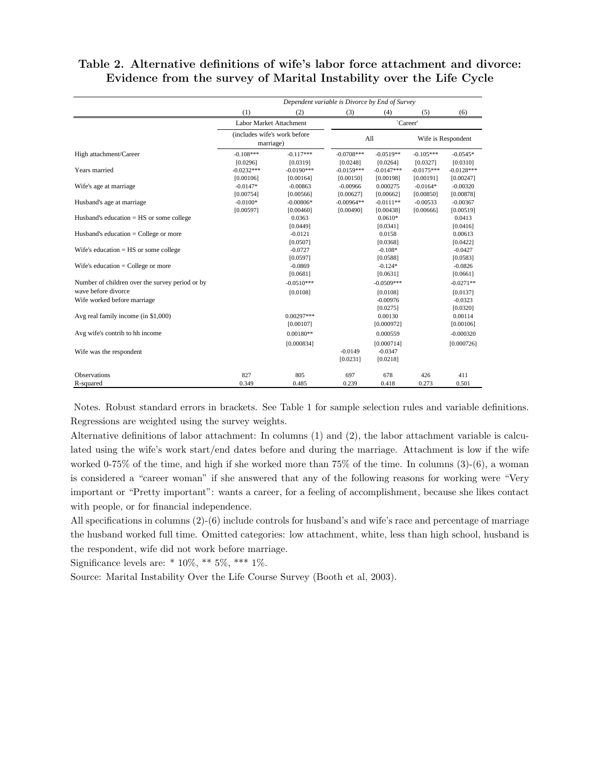|  | Table 2. Alternative definitions of wife's labor force attachment and divorce: |  |  |  |
|--|--------------------------------------------------------------------------------|--|--|--|
|  | Evidence from the survey of Marital Instability over the Life Cycle            |  |  |  |

|                                                 | Dependent variable is Divorce by End of Survey |              |              |              |              |                    |
|-------------------------------------------------|------------------------------------------------|--------------|--------------|--------------|--------------|--------------------|
|                                                 | (1)                                            | (2)          | (3)          | (4)          | (5)          | (6)                |
|                                                 | Labor Market Attachment                        |              |              |              | `Career'     |                    |
|                                                 | (includes wife's work before<br>marriage)      |              |              | All          |              | Wife is Respondent |
| High attachment/Career                          | $-0.108***$                                    | $-0.117***$  | $-0.0708***$ | $-0.0519**$  | $-0.105***$  | $-0.0545*$         |
|                                                 | [0.0296]                                       | [0.0319]     | [0.0248]     | [0.0264]     | [0.0327]     | [0.0310]           |
| Years married                                   | $-0.0232***$                                   | $-0.0190***$ | $-0.0159***$ | $-0.0147***$ | $-0.0175***$ | $-0.0128***$       |
|                                                 | [0.00106]                                      | [0.00164]    | [0.00150]    | [0.00198]    | [0.00191]    | [0.00247]          |
| Wife's age at marriage                          | $-0.0147*$                                     | $-0.00863$   | $-0.00966$   | 0.000275     | $-0.0164*$   | $-0.00320$         |
|                                                 | [0.00754]                                      | [0.00566]    | [0.00627]    | [0.00662]    | [0.00850]    | [0.00878]          |
| Husband's age at marriage                       | $-0.0100*$                                     | $-0.00806*$  | $-0.00964**$ | $-0.0111**$  | $-0.00533$   | $-0.00367$         |
|                                                 | [0.00597]                                      | [0.00460]    | [0.00490]    | [0.00438]    | [0.00666]    | [0.00519]          |
| Husband's education $=$ HS or some college      |                                                | 0.0363       |              | $0.0610*$    |              | 0.0413             |
|                                                 |                                                | [0.0449]     |              | [0.0341]     |              | [0.0416]           |
| Husband's education $=$ College or more         |                                                | $-0.0121$    |              | 0.0158       |              | 0.00613            |
|                                                 |                                                | [0.0507]     |              | [0.0368]     |              | [0.0422]           |
| Wife's education $=$ HS or some college         |                                                | $-0.0727$    |              | $-0.108*$    |              | $-0.0427$          |
|                                                 |                                                | [0.0597]     |              | [0.0588]     |              | [0.0583]           |
| Wife's education $=$ College or more            |                                                | $-0.0869$    |              | $-0.124*$    |              | $-0.0826$          |
|                                                 |                                                | [0.0681]     |              | [0.0631]     |              | [0.0661]           |
| Number of children over the survey period or by |                                                | $-0.0510***$ |              | $-0.0509***$ |              | $-0.0271**$        |
| wave before divorce                             |                                                | [0.0108]     |              | [0.0108]     |              | [0.0137]           |
| Wife worked before marriage                     |                                                |              |              | $-0.00976$   |              | $-0.0323$          |
|                                                 |                                                |              |              | [0.0275]     |              | [0.0320]           |
| Avg real family income (in \$1,000)             |                                                | $0.00297***$ |              | 0.00130      |              | 0.00114            |
|                                                 |                                                | [0.00107]    |              | [0.000972]   |              | [0.00106]          |
| Avg wife's contrib to hh income                 |                                                | $0.00180**$  |              | 0.000559     |              | $-0.000320$        |
|                                                 |                                                | [0.000834]   |              | [0.000714]   |              | [0.000726]         |
| Wife was the respondent                         |                                                |              | $-0.0149$    | $-0.0347$    |              |                    |
|                                                 |                                                |              | [0.0231]     | [0.0218]     |              |                    |
| <b>Observations</b>                             | 827                                            | 805          | 697          | 678          | 426          | 411                |
| R-squared                                       | 0.349                                          | 0.485        | 0.239        | 0.418        | 0.273        | 0.501              |

Notes. Robust standard errors in brackets. See Table 1 for sample selection rules and variable definitions. Regressions are weighted using the survey weights.

Alternative definitions of labor attachment: In columns (1) and (2), the labor attachment variable is calculated using the wife's work start/end dates before and during the marriage. Attachment is low if the wife worked 0-75% of the time, and high if she worked more than 75% of the time. In columns (3)-(6), a woman is considered a "career woman" if she answered that any of the following reasons for working were "Very important or "Pretty important": wants a career, for a feeling of accomplishment, because she likes contact with people, or for financial independence.

All specifications in columns (2)-(6) include controls for husband's and wife's race and percentage of marriage the husband worked full time. Omitted categories: low attachment, white, less than high school, husband is the respondent, wife did not work before marriage.

Significance levels are:  $* 10\%, ** 5\%, *** 1\%.$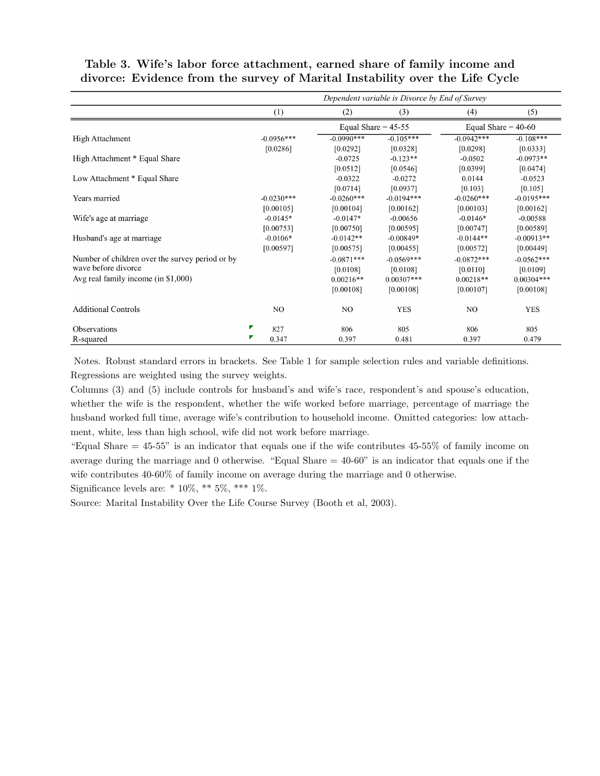|                                                 | Dependent variable is Divorce by End of Survey |                       |              |                       |              |  |  |
|-------------------------------------------------|------------------------------------------------|-----------------------|--------------|-----------------------|--------------|--|--|
|                                                 | (1)                                            | (2)                   | (3)          | (4)                   | (5)          |  |  |
|                                                 |                                                | Equal Share $= 45-55$ |              | Equal Share = $40-60$ |              |  |  |
| <b>High Attachment</b>                          | $-0.0956***$                                   | $-0.0990***$          | $-0.105***$  | $-0.0942***$          | $-0.108***$  |  |  |
|                                                 | [0.0286]                                       | [0.0292]              | [0.0328]     | [0.0298]              | [0.0333]     |  |  |
| High Attachment * Equal Share                   |                                                | $-0.0725$             | $-0.123**$   | $-0.0502$             | $-0.0973**$  |  |  |
|                                                 |                                                | [0.0512]              | [0.0546]     | [0.0399]              | [0.0474]     |  |  |
| Low Attachment * Equal Share                    |                                                | $-0.0322$             | $-0.0272$    | 0.0144                | $-0.0523$    |  |  |
|                                                 |                                                | [0.0714]              | [0.0937]     | [0.103]               | [0.105]      |  |  |
| Years married                                   | $-0.0230***$                                   | $-0.0260***$          | $-0.0194***$ | $-0.0260***$          | $-0.0195***$ |  |  |
|                                                 | [0.00105]                                      | [0.00104]             | [0.00162]    | [0.00103]             | [0.00162]    |  |  |
| Wife's age at marriage                          | $-0.0145*$                                     | $-0.0147*$            | $-0.00656$   | $-0.0146*$            | $-0.00588$   |  |  |
|                                                 | [0.00753]                                      | [0.00750]             | [0.00595]    | [0.00747]             | [0.00589]    |  |  |
| Husband's age at marriage                       | $-0.0106*$                                     | $-0.0142**$           | $-0.00849*$  | $-0.0144**$           | $-0.00913**$ |  |  |
|                                                 | [0.00597]                                      | [0.00575]             | [0.00455]    | [0.00572]             | [0.00449]    |  |  |
| Number of children over the survey period or by |                                                | $-0.0871***$          | $-0.0569***$ | $-0.0872***$          | $-0.0562***$ |  |  |
| wave before divorce                             |                                                | [0.0108]              | [0.0108]     | [0.0110]              | [0.0109]     |  |  |
| Avg real family income (in \$1,000)             |                                                | $0.00216**$           | $0.00307***$ | $0.00218**$           | $0.00304***$ |  |  |
|                                                 |                                                | [0.00108]             | [0.00108]    | [0.00107]             | [0.00108]    |  |  |
| <b>Additional Controls</b>                      | NO.                                            | NO.                   | <b>YES</b>   | NO.                   | <b>YES</b>   |  |  |
| Observations                                    | Г<br>827                                       | 806                   | 805          | 806                   | 805          |  |  |
| R-squared                                       | ν<br>0.347                                     | 0.397                 | 0.481        | 0.397                 | 0.479        |  |  |

Table 3. Wife's labor force attachment, earned share of family income and divorce: Evidence from the survey of Marital Instability over the Life Cycle

Notes. Robust standard errors in brackets. See Table 1 for sample selection rules and variable definitions. Regressions are weighted using the survey weights.

Columns (3) and (5) include controls for husband's and wife's race, respondent's and spouse's education, whether the wife is the respondent, whether the wife worked before marriage, percentage of marriage the husband worked full time, average wife's contribution to household income. Omitted categories: low attachment, white, less than high school, wife did not work before marriage.

"Equal Share = 45-55" is an indicator that equals one if the wife contributes 45-55% of family income on average during the marriage and 0 otherwise. "Equal Share  $= 40{\text -}60$ " is an indicator that equals one if the wife contributes 40-60% of family income on average during the marriage and 0 otherwise.

Significance levels are:  $* 10\%, ** 5\%, *** 1\%$ .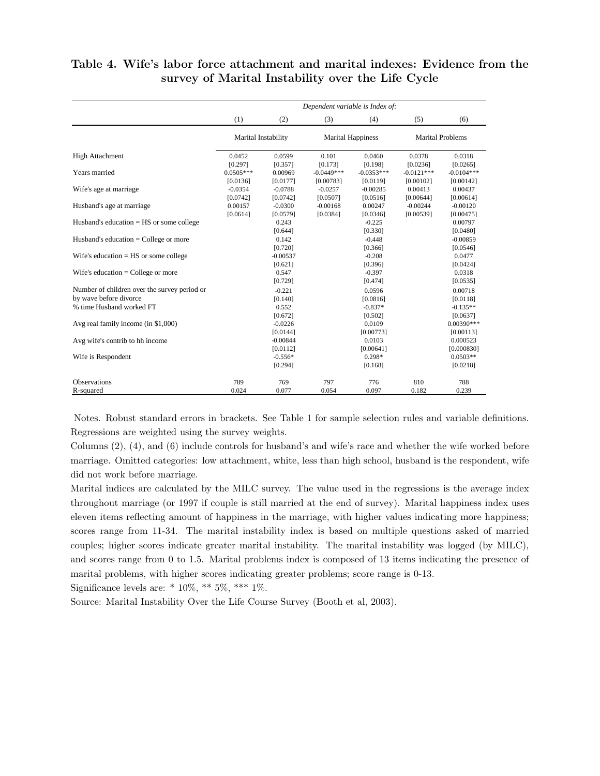|                                                    | Dependent variable is Index of:   |                                   |                                    |                                    |                                   |                                    |  |
|----------------------------------------------------|-----------------------------------|-----------------------------------|------------------------------------|------------------------------------|-----------------------------------|------------------------------------|--|
|                                                    | (1)                               | (2)                               | (3)                                | (4)                                | (5)                               | (6)                                |  |
|                                                    | Marital Instability               |                                   |                                    | <b>Marital Happiness</b>           |                                   | <b>Marital Problems</b>            |  |
| <b>High Attachment</b>                             | 0.0452                            | 0.0599                            | 0.101                              | 0.0460                             | 0.0378                            | 0.0318                             |  |
| Years married                                      | [0.297]<br>$0.0505***$            | [0.357]<br>0.00969                | [0.173]<br>$-0.0449***$            | [0.198]<br>$-0.0353***$            | [0.0236]<br>$-0.0121***$          | [0.0265]<br>$-0.0104***$           |  |
| Wife's age at marriage                             | [0.0136]<br>$-0.0354$<br>[0.0742] | [0.0177]<br>$-0.0788$<br>[0.0742] | [0.00783]<br>$-0.0257$<br>[0.0507] | [0.0119]<br>$-0.00285$<br>[0.0516] | [0.00102]<br>0.00413<br>[0.00644] | [0.00142]<br>0.00437<br>[0.00614]  |  |
| Husband's age at marriage.                         | 0.00157<br>[0.0614]               | $-0.0300$<br>[0.0579]             | $-0.00168$<br>[0.0384]             | 0.00247<br>[0.0346]                | $-0.00244$<br>[0.00539]           | $-0.00120$<br>[0.00475]            |  |
| Husband's education $=$ HS or some college         |                                   | 0.243<br>[0.644]                  |                                    | $-0.225$<br>[0.330]                |                                   | 0.00797<br>[0.0480]                |  |
| Husband's education $=$ College or more            |                                   | 0.142<br>[0.720]                  |                                    | $-0.448$<br>[0.366]                |                                   | $-0.00859$<br>[0.0546]             |  |
| Wife's education $=$ HS or some college            |                                   | $-0.00537$<br>[0.621]             |                                    | $-0.208$<br>[0.396]                |                                   | 0.0477<br>[0.0424]                 |  |
| Wife's education $=$ College or more               |                                   | 0.547<br>[0.729]                  |                                    | $-0.397$<br>[0.474]                |                                   | 0.0318<br>[0.0535]                 |  |
| Number of children over the survey period or       |                                   | $-0.221$                          |                                    | 0.0596                             |                                   | 0.00718                            |  |
| by wave before divorce<br>% time Husband worked FT |                                   | [0.140]<br>0.552<br>[0.672]       |                                    | [0.0816]<br>$-0.837*$<br>[0.502]   |                                   | [0.0118]<br>$-0.135**$<br>[0.0637] |  |
| Avg real family income (in \$1,000)                |                                   | $-0.0226$<br>[0.0144]             |                                    | 0.0109<br>[0.00773]                |                                   | $0.00390***$<br>[0.00113]          |  |
| Avg wife's contrib to hh income                    |                                   | $-0.00844$<br>[0.0112]            |                                    | 0.0103<br>[0.00641]                |                                   | 0.000523<br>[0.000830]             |  |
| Wife is Respondent                                 |                                   | $-0.556*$<br>[0.294]              |                                    | $0.298*$<br>[0.168]                |                                   | $0.0503**$<br>[0.0218]             |  |
| <b>Observations</b>                                | 789                               | 769                               | 797                                | 776                                | 810                               | 788                                |  |
| R-squared                                          | 0.024                             | 0.077                             | 0.054                              | 0.097                              | 0.182                             | 0.239                              |  |

### Table 4. Wife's labor force attachment and marital indexes: Evidence from the survey of Marital Instability over the Life Cycle

Notes. Robust standard errors in brackets. See Table 1 for sample selection rules and variable definitions. Regressions are weighted using the survey weights.

Columns (2), (4), and (6) include controls for husband's and wife's race and whether the wife worked before marriage. Omitted categories: low attachment, white, less than high school, husband is the respondent, wife did not work before marriage.

Marital indices are calculated by the MILC survey. The value used in the regressions is the average index throughout marriage (or 1997 if couple is still married at the end of survey). Marital happiness index uses eleven items reflecting amount of happiness in the marriage, with higher values indicating more happiness; scores range from 11-34. The marital instability index is based on multiple questions asked of married couples; higher scores indicate greater marital instability. The marital instability was logged (by MILC), and scores range from 0 to 1.5. Marital problems index is composed of 13 items indicating the presence of marital problems, with higher scores indicating greater problems; score range is 0-13.

Significance levels are:  $* 10\%, ** 5\%, *** 1\%.$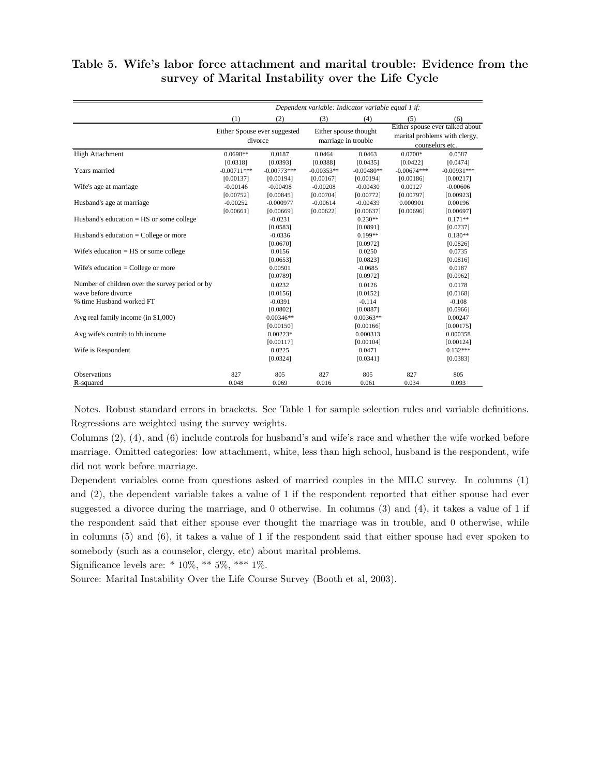### Table 5. Wife's labor force attachment and marital trouble: Evidence from the survey of Marital Instability over the Life Cycle

|                                                                        | Dependent variable: Indicator variable equal 1 if: |                                        |                                       |                                              |                                        |                                                                                     |  |
|------------------------------------------------------------------------|----------------------------------------------------|----------------------------------------|---------------------------------------|----------------------------------------------|----------------------------------------|-------------------------------------------------------------------------------------|--|
|                                                                        | (1)                                                | (2)                                    | (3)                                   | (4)                                          | (5)                                    | (6)                                                                                 |  |
|                                                                        | Either Spouse ever suggested<br>divorce            |                                        |                                       | Either spouse thought<br>marriage in trouble |                                        | Either spouse ever talked about<br>marital problems with clergy,<br>counselors etc. |  |
| High Attachment                                                        | 0.0698**                                           | 0.0187                                 | 0.0464                                | 0.0463                                       | $0.0700*$                              | 0.0587                                                                              |  |
| Years married                                                          | [0.0318]<br>$-0.00711***$<br>[0.00137]             | [0.0393]<br>$-0.00773***$<br>[0.00194] | [0.0388]<br>$-0.00353**$<br>[0.00167] | [0.0435]<br>$-0.00480**$<br>[0.00194]        | [0.0422]<br>$-0.00674***$<br>[0.00186] | [0.0474]<br>$-0.00931***$<br>[0.00217]                                              |  |
| Wife's age at marriage                                                 | $-0.00146$<br>[0.00752]                            | $-0.00498$<br>[0.00845]                | $-0.00208$<br>[0.00704]               | $-0.00430$<br>[0.00772]                      | 0.00127<br>[0.00797]                   | $-0.00606$<br>[0.00923]                                                             |  |
| Husband's age at marriage                                              | $-0.00252$<br>[0.00661]                            | $-0.000977$<br>[0.00669]               | $-0.00614$<br>[0.00622]               | $-0.00439$<br>[0.00637]                      | 0.000901<br>[0.00696]                  | 0.00196<br>[0.00697]                                                                |  |
| Husband's education $=$ HS or some college                             |                                                    | $-0.0231$<br>[0.0583]                  |                                       | $0.230**$<br>[0.0891]                        |                                        | $0.171**$<br>[0.0737]                                                               |  |
| Husband's education $=$ College or more                                |                                                    | $-0.0336$<br>[0.0670]                  |                                       | $0.199**$<br>[0.0972]                        |                                        | $0.180**$<br>[0.0826]                                                               |  |
| Wife's education $=$ HS or some college                                |                                                    | 0.0156<br>[0.0653]                     |                                       | 0.0250<br>[0.0823]                           |                                        | 0.0735<br>[0.0816]                                                                  |  |
| Wife's education $=$ College or more                                   |                                                    | 0.00501<br>[0.0789]                    |                                       | $-0.0685$<br>[0.0972]                        |                                        | 0.0187<br>[0.0962]                                                                  |  |
| Number of children over the survey period or by<br>wave before divorce |                                                    | 0.0232<br>[0.0156]                     |                                       | 0.0126<br>[0.0152]                           |                                        | 0.0178<br>[0.0168]                                                                  |  |
| % time Husband worked FT                                               |                                                    | $-0.0391$<br>[0.0802]                  |                                       | $-0.114$<br>[0.0887]                         |                                        | $-0.108$<br>[0.0966]                                                                |  |
| Avg real family income (in \$1,000)                                    |                                                    | $0.00346**$<br>[0.00150]               |                                       | $0.00363**$<br>[0.00166]                     |                                        | 0.00247<br>[0.00175]                                                                |  |
| Avg wife's contrib to hh income                                        |                                                    | $0.00223*$<br>[0.00117]                |                                       | 0.000313<br>[0.00104]                        |                                        | 0.000358<br>[0.00124]                                                               |  |
| Wife is Respondent                                                     |                                                    | 0.0225<br>[0.0324]                     |                                       | 0.0471<br>[0.0341]                           |                                        | $0.132***$<br>[0.0383]                                                              |  |
| <b>Observations</b><br>R-squared                                       | 827<br>0.048                                       | 805<br>0.069                           | 827<br>0.016                          | 805<br>0.061                                 | 827<br>0.034                           | 805<br>0.093                                                                        |  |

Notes. Robust standard errors in brackets. See Table 1 for sample selection rules and variable definitions. Regressions are weighted using the survey weights.

Columns (2), (4), and (6) include controls for husband's and wife's race and whether the wife worked before marriage. Omitted categories: low attachment, white, less than high school, husband is the respondent, wife did not work before marriage.

Dependent variables come from questions asked of married couples in the MILC survey. In columns (1) and (2), the dependent variable takes a value of 1 if the respondent reported that either spouse had ever suggested a divorce during the marriage, and 0 otherwise. In columns (3) and (4), it takes a value of 1 if the respondent said that either spouse ever thought the marriage was in trouble, and 0 otherwise, while in columns (5) and (6), it takes a value of 1 if the respondent said that either spouse had ever spoken to somebody (such as a counselor, clergy, etc) about marital problems.

Significance levels are:  $* 10\%, ** 5\%, *** 1\%.$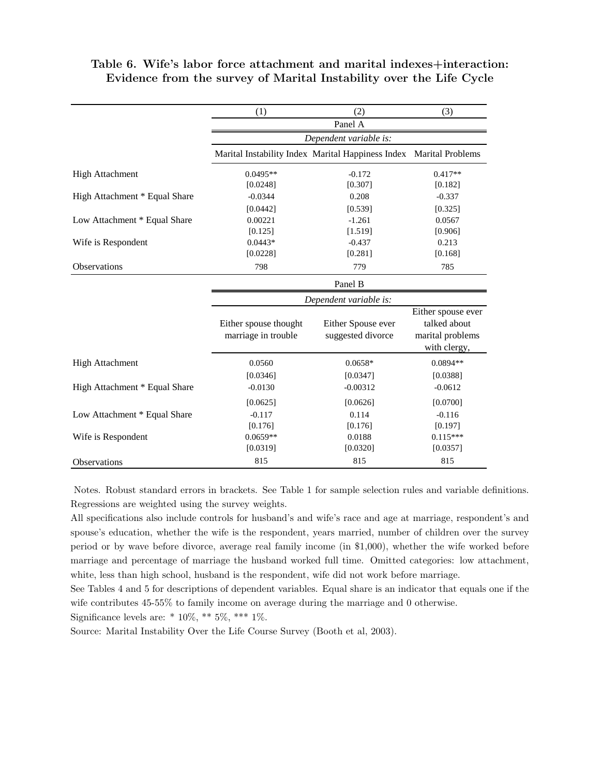|                               | (1)                                          | (2)                                                                | (3)                                                                    |
|-------------------------------|----------------------------------------------|--------------------------------------------------------------------|------------------------------------------------------------------------|
|                               |                                              | Panel A                                                            |                                                                        |
|                               |                                              | Dependent variable is:                                             |                                                                        |
|                               |                                              | Marital Instability Index Marital Happiness Index Marital Problems |                                                                        |
| <b>High Attachment</b>        | $0.0495**$                                   | $-0.172$                                                           | $0.417**$                                                              |
|                               | [0.0248]                                     | [0.307]                                                            | [0.182]                                                                |
| High Attachment * Equal Share | $-0.0344$                                    | 0.208                                                              | $-0.337$                                                               |
|                               | [0.0442]                                     | [0.539]                                                            | [0.325]                                                                |
| Low Attachment * Equal Share  | 0.00221                                      | $-1.261$                                                           | 0.0567                                                                 |
|                               | [0.125]                                      | [1.519]                                                            | [0.906]                                                                |
| Wife is Respondent            | $0.0443*$                                    | $-0.437$                                                           | 0.213                                                                  |
|                               | [0.0228]                                     | [0.281]                                                            | [0.168]                                                                |
| <b>Observations</b>           | 798                                          | 779                                                                | 785                                                                    |
|                               |                                              | Panel B                                                            |                                                                        |
|                               |                                              | Dependent variable is:                                             |                                                                        |
|                               | Either spouse thought<br>marriage in trouble | Either Spouse ever<br>suggested divorce                            | Either spouse ever<br>talked about<br>marital problems<br>with clergy, |
| <b>High Attachment</b>        | 0.0560                                       | $0.0658*$                                                          | 0.0894 **                                                              |
|                               | [0.0346]                                     | [0.0347]                                                           | [0.0388]                                                               |
| High Attachment * Equal Share | $-0.0130$                                    | $-0.00312$                                                         | $-0.0612$                                                              |
|                               | [0.0625]                                     | [0.0626]                                                           | [0.0700]                                                               |
| Low Attachment * Equal Share  | $-0.117$                                     | 0.114                                                              | $-0.116$                                                               |
|                               | [0.176]                                      | [0.176]                                                            | [0.197]                                                                |
| Wife is Respondent            | $0.0659**$                                   | 0.0188                                                             | $0.115***$                                                             |
|                               | [0.0319]                                     | [0.0320]                                                           | [0.0357]                                                               |
| <b>Observations</b>           | 815                                          | 815                                                                | 815                                                                    |

### Table 6. Wife's labor force attachment and marital indexes+interaction: Evidence from the survey of Marital Instability over the Life Cycle

Notes. Robust standard errors in brackets. See Table 1 for sample selection rules and variable definitions. Regressions are weighted using the survey weights.

All specifications also include controls for husband's and wife's race and age at marriage, respondent's and spouse's education, whether the wife is the respondent, years married, number of children over the survey period or by wave before divorce, average real family income (in \$1,000), whether the wife worked before marriage and percentage of marriage the husband worked full time. Omitted categories: low attachment, white, less than high school, husband is the respondent, wife did not work before marriage.

See Tables 4 and 5 for descriptions of dependent variables. Equal share is an indicator that equals one if the wife contributes 45-55% to family income on average during the marriage and 0 otherwise.

Significance levels are:  $* 10\%, ** 5\%, *** 1\%$ .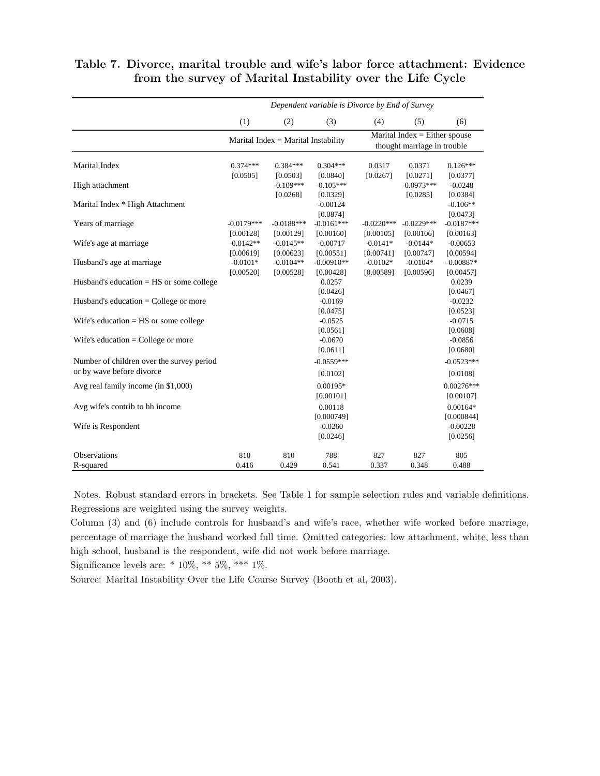|                                            | Dependent variable is Divorce by End of Survey |                           |                           |                                                                                         |                           |                           |
|--------------------------------------------|------------------------------------------------|---------------------------|---------------------------|-----------------------------------------------------------------------------------------|---------------------------|---------------------------|
|                                            | (1)                                            | (2)                       | (3)                       | (4)                                                                                     | (5)                       | (6)                       |
|                                            | Marital Index = Marital Instability            |                           |                           | Marital $\overline{\text{Index}} = \text{Either}$ spouse<br>thought marriage in trouble |                           |                           |
| <b>Marital Index</b>                       | $0.374***$<br>[0.0505]                         | $0.384***$<br>[0.0503]    | $0.304***$<br>[0.0840]    | 0.0317<br>[0.0267]                                                                      | 0.0371<br>[0.0271]        | $0.126***$<br>[0.0377]    |
| High attachment                            |                                                | $-0.109***$<br>[0.0268]   | $-0.105***$<br>[0.0329]   |                                                                                         | $-0.0973***$<br>[0.0285]  | $-0.0248$<br>[0.0384]     |
| Marital Index * High Attachment            |                                                |                           | $-0.00124$<br>[0.0874]    |                                                                                         |                           | $-0.106**$<br>[0.0473]    |
| Years of marriage                          | $-0.0179***$<br>[0.00128]                      | $-0.0188***$<br>[0.00129] | $-0.0161***$<br>[0.00160] | $-0.0220***$<br>[0.00105]                                                               | $-0.0229***$<br>[0.00106] | $-0.0187***$<br>[0.00163] |
| Wife's age at marriage                     | $-0.0142**$<br>[0.00619]                       | $-0.0145**$<br>[0.00623]  | $-0.00717$<br>[0.00551]   | $-0.0141*$<br>[0.00741]                                                                 | $-0.0144*$<br>[0.00747]   | $-0.00653$<br>[0.00594]   |
| Husband's age at marriage                  | $-0.0101*$<br>[0.00520]                        | $-0.0104**$<br>[0.00528]  | $-0.00910**$<br>[0.00428] | $-0.0102*$<br>[0.00589]                                                                 | $-0.0104*$<br>[0.00596]   | $-0.00887*$<br>[0.00457]  |
| Husband's education $=$ HS or some college |                                                |                           | 0.0257<br>[0.0426]        |                                                                                         |                           | 0.0239<br>[0.0467]        |
| Husband's education $=$ College or more    |                                                |                           | $-0.0169$<br>[0.0475]     |                                                                                         |                           | $-0.0232$<br>[0.0523]     |
| Wife's education $=$ HS or some college    |                                                |                           | $-0.0525$<br>[0.0561]     |                                                                                         |                           | $-0.0715$<br>[0.0608]     |
| Wife's education $=$ College or more       |                                                |                           | $-0.0670$<br>[0.0611]     |                                                                                         |                           | $-0.0856$<br>[0.0680]     |
| Number of children over the survey period  |                                                |                           | $-0.0559***$              |                                                                                         |                           | $-0.0523***$              |
| or by wave before divorce                  |                                                |                           | [0.0102]                  |                                                                                         |                           | [0.0108]                  |
| Avg real family income (in \$1,000)        |                                                |                           | $0.00195*$<br>[0.00101]   |                                                                                         |                           | $0.00276***$<br>[0.00107] |
| Avg wife's contrib to hh income            |                                                |                           | 0.00118<br>[0.000749]     |                                                                                         |                           | $0.00164*$<br>[0.000844]  |
| Wife is Respondent                         |                                                |                           | $-0.0260$<br>[0.0246]     |                                                                                         |                           | $-0.00228$<br>[0.0256]    |
| Observations                               | 810                                            | 810                       | 788                       | 827                                                                                     | 827                       | 805                       |
| R-squared                                  | 0.416                                          | 0.429                     | 0.541                     | 0.337                                                                                   | 0.348                     | 0.488                     |

### Table 7. Divorce, marital trouble and wife's labor force attachment: Evidence from the survey of Marital Instability over the Life Cycle

Notes. Robust standard errors in brackets. See Table 1 for sample selection rules and variable definitions. Regressions are weighted using the survey weights.

Column (3) and (6) include controls for husband's and wife's race, whether wife worked before marriage, percentage of marriage the husband worked full time. Omitted categories: low attachment, white, less than high school, husband is the respondent, wife did not work before marriage.

Significance levels are: \*  $10\%,$  \*\*  $5\%,$  \*\*\*  $1\%.$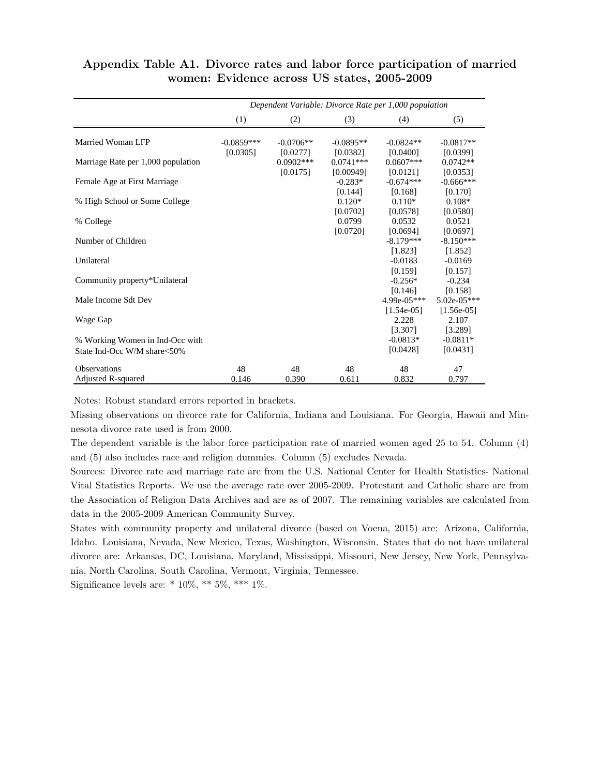|                                    | Dependent Variable: Divorce Rate per 1,000 population |              |             |              |               |  |
|------------------------------------|-------------------------------------------------------|--------------|-------------|--------------|---------------|--|
|                                    | (1)                                                   | (2)          | (3)         | (4)          | (5)           |  |
| Married Woman LFP                  | $-0.0859***$                                          | $-0.0706**$  | $-0.0895**$ | $-0.0824**$  | $-0.0817**$   |  |
|                                    | [0.0305]                                              | [0.0277]     | [0.0382]    | [0.0400]     | [0.0399]      |  |
| Marriage Rate per 1,000 population |                                                       | $0.0902$ *** | $0.0741***$ | $0.0607***$  | $0.0742**$    |  |
|                                    |                                                       | [0.0175]     | [0.00949]   | [0.0121]     | [0.0353]      |  |
| Female Age at First Marriage       |                                                       |              | $-0.283*$   | $-0.674***$  | $-0.666$ ***  |  |
|                                    |                                                       |              | [0.144]     | [0.168]      | [0.170]       |  |
| % High School or Some College      |                                                       |              | $0.120*$    | $0.110*$     | $0.108*$      |  |
|                                    |                                                       |              | [0.0702]    | [0.0578]     | [0.0580]      |  |
| % College                          |                                                       |              | 0.0799      | 0.0532       | 0.0521        |  |
|                                    |                                                       |              | [0.0720]    | [0.0694]     | [0.0697]      |  |
| Number of Children                 |                                                       |              |             | $-8.179***$  | $-8.150***$   |  |
|                                    |                                                       |              |             | [1.823]      | [1.852]       |  |
| Unilateral                         |                                                       |              |             | $-0.0183$    | $-0.0169$     |  |
|                                    |                                                       |              |             | [0.159]      | [0.157]       |  |
| Community property*Unilateral      |                                                       |              |             | $-0.256*$    | $-0.234$      |  |
|                                    |                                                       |              |             | [0.146]      | [0.158]       |  |
| Male Income Sdt Dev                |                                                       |              |             | 4.99e-05***  | $5.02e-05***$ |  |
|                                    |                                                       |              |             | $[1.54e-05]$ | $[1.56e-05]$  |  |
| Wage Gap                           |                                                       |              |             | 2.228        | 2.107         |  |
|                                    |                                                       |              |             | [3.307]      | [3.289]       |  |
| % Working Women in Ind-Occ with    |                                                       |              |             | $-0.0813*$   | $-0.0811*$    |  |
| State Ind-Occ W/M share<50%        |                                                       |              |             | [0.0428]     | [0.0431]      |  |
|                                    |                                                       |              |             |              |               |  |
| <b>Observations</b>                | 48                                                    | 48           | 48          | 48           | 47            |  |
| Adjusted R-squared                 | 0.146                                                 | 0.390        | 0.611       | 0.832        | 0.797         |  |

### Appendix Table A1. Divorce rates and labor force participation of married women: Evidence across US states, 2005-2009

Notes: Robust standard errors reported in brackets.

Missing observations on divorce rate for California, Indiana and Louisiana. For Georgia, Hawaii and Minnesota divorce rate used is from 2000.

The dependent variable is the labor force participation rate of married women aged 25 to 54. Column (4) and (5) also includes race and religion dummies. Column (5) excludes Nevada.

Sources: Divorce rate and marriage rate are from the U.S. National Center for Health Statistics- National Vital Statistics Reports. We use the average rate over 2005-2009. Protestant and Catholic share are from the Association of Religion Data Archives and are as of 2007. The remaining variables are calculated from data in the 2005-2009 American Community Survey.

States with community property and unilateral divorce (based on Voena, 2015) are: Arizona, California, Idaho. Louisiana, Nevada, New Mexico, Texas, Washington, Wisconsin. States that do not have unilateral divorce are: Arkansas, DC, Louisiana, Maryland, Mississippi, Missouri, New Jersey, New York, Pennsylvania, North Carolina, South Carolina, Vermont, Virginia, Tennessee.

Significance levels are: \*  $10\%,$  \*\*  $5\%,$  \*\*\*  $1\%$ .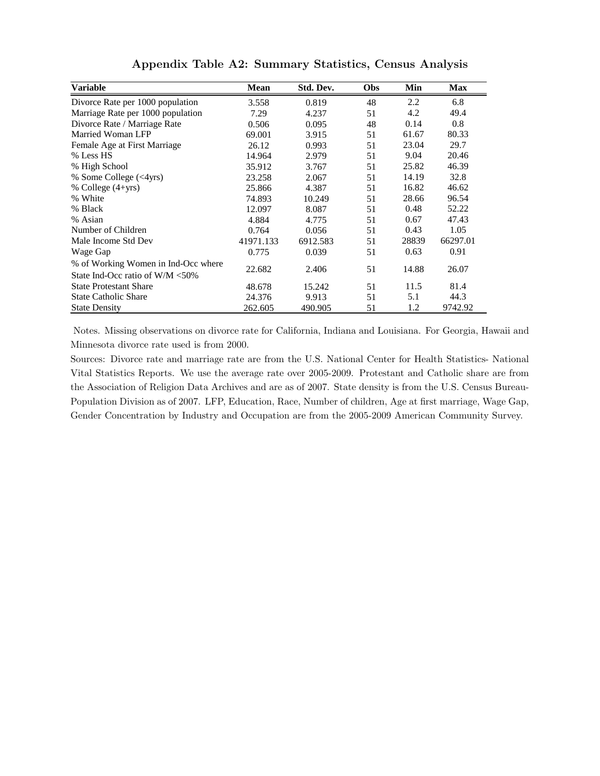| Variable                            | Mean      | Std. Dev. | Obs | Min   | Max      |
|-------------------------------------|-----------|-----------|-----|-------|----------|
| Divorce Rate per 1000 population    | 3.558     | 0.819     | 48  | 2.2   | 6.8      |
| Marriage Rate per 1000 population   | 7.29      | 4.237     | 51  | 4.2   | 49.4     |
| Divorce Rate / Marriage Rate        | 0.506     | 0.095     | 48  | 0.14  | 0.8      |
| Married Woman LFP                   | 69.001    | 3.915     | 51  | 61.67 | 80.33    |
| Female Age at First Marriage        | 26.12     | 0.993     | 51  | 23.04 | 29.7     |
| % Less HS                           | 14.964    | 2.979     | 51  | 9.04  | 20.46    |
| % High School                       | 35.912    | 3.767     | 51  | 25.82 | 46.39    |
| % Some College (<4yrs)              | 23.258    | 2.067     | 51  | 14.19 | 32.8     |
| % College $(4+yrs)$                 | 25.866    | 4.387     | 51  | 16.82 | 46.62    |
| % White                             | 74.893    | 10.249    | 51  | 28.66 | 96.54    |
| % Black                             | 12.097    | 8.087     | 51  | 0.48  | 52.22    |
| % Asian                             | 4.884     | 4.775     | 51  | 0.67  | 47.43    |
| Number of Children                  | 0.764     | 0.056     | 51  | 0.43  | 1.05     |
| Male Income Std Dev                 | 41971.133 | 6912.583  | 51  | 28839 | 66297.01 |
| Wage Gap                            | 0.775     | 0.039     | 51  | 0.63  | 0.91     |
| % of Working Women in Ind-Occ where |           |           |     |       |          |
| State Ind-Occ ratio of W/M <50%     | 22.682    | 2.406     | 51  | 14.88 | 26.07    |
| <b>State Protestant Share</b>       | 48.678    | 15.242    | 51  | 11.5  | 81.4     |
| <b>State Catholic Share</b>         | 24.376    | 9.913     | 51  | 5.1   | 44.3     |
| <b>State Density</b>                | 262.605   | 490.905   | 51  | 1.2   | 9742.92  |

Appendix Table A2: Summary Statistics, Census Analysis

Notes. Missing observations on divorce rate for California, Indiana and Louisiana. For Georgia, Hawaii and Minnesota divorce rate used is from 2000.

Sources: Divorce rate and marriage rate are from the U.S. National Center for Health Statistics- National Vital Statistics Reports. We use the average rate over 2005-2009. Protestant and Catholic share are from the Association of Religion Data Archives and are as of 2007. State density is from the U.S. Census Bureau-Population Division as of 2007. LFP, Education, Race, Number of children, Age at first marriage, Wage Gap, Gender Concentration by Industry and Occupation are from the 2005-2009 American Community Survey.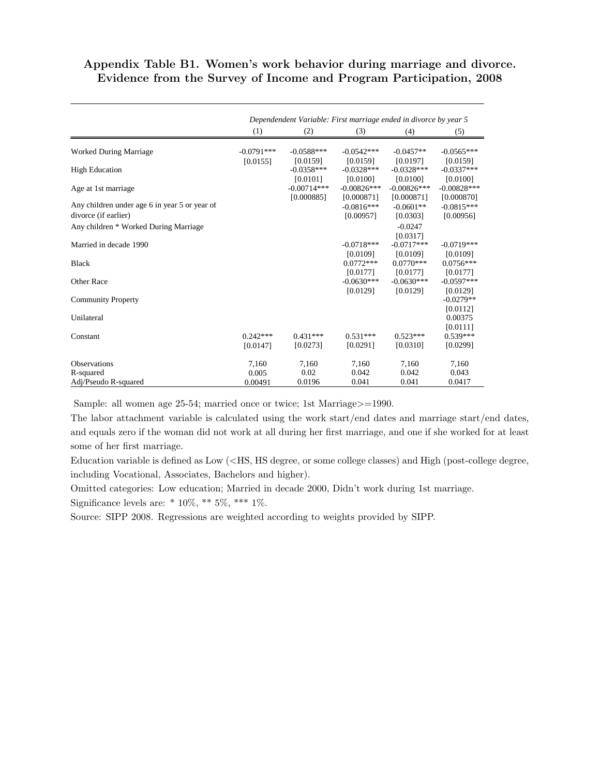### Appendix Table B1. Women's work behavior during marriage and divorce. Evidence from the Survey of Income and Program Participation, 2008

|                                                                       |                          | Dependendent Variable: First marriage ended in divorce by year 5 |                                     |                                     |                                     |
|-----------------------------------------------------------------------|--------------------------|------------------------------------------------------------------|-------------------------------------|-------------------------------------|-------------------------------------|
|                                                                       | (1)                      | (2)                                                              | (3)                                 | (4)                                 | (5)                                 |
| <b>Worked During Marriage</b>                                         | $-0.0791***$<br>[0.0155] | $-0.0588***$<br>[0.0159]                                         | $-0.0542***$<br>[0.0159]            | $-0.0457**$<br>[0.0197]             | $-0.0565***$<br>[0.0159]            |
| <b>High Education</b>                                                 |                          | $-0.0358***$<br>[0.0101]                                         | $-0.0328***$<br>[0.0100]            | $-0.0328***$<br>[0.0100]            | $-0.0337***$<br>[0.0100]            |
| Age at 1st marriage                                                   |                          | $-0.00714***$<br>[0.000885]                                      | $-0.00826***$<br>[0.000871]         | $-0.00826***$<br>[0.000871]         | $-0.00828***$<br>[0.000870]         |
| Any children under age 6 in year 5 or year of<br>divorce (if earlier) |                          |                                                                  | $-0.0816***$<br>[0.00957]           | $-0.0601**$<br>[0.0303]             | $-0.0815***$<br>[0.00956]           |
| Any children * Worked During Marriage                                 |                          |                                                                  |                                     | $-0.0247$<br>[0.0317]               |                                     |
| Married in decade 1990                                                |                          |                                                                  | $-0.0718***$                        | $-0.0717***$                        | $-0.0719***$                        |
| <b>Black</b>                                                          |                          |                                                                  | [0.0109]<br>$0.0772***$<br>[0.0177] | [0.0109]<br>$0.0770***$<br>[0.0177] | [0.0109]<br>$0.0756***$<br>[0.0177] |
| Other Race                                                            |                          |                                                                  | $-0.0630***$<br>[0.0129]            | $-0.0630***$<br>[0.0129]            | $-0.0597***$<br>[0.0129]            |
| <b>Community Property</b>                                             |                          |                                                                  |                                     |                                     | $-0.0279**$<br>[0.0112]             |
| Unilateral                                                            |                          |                                                                  |                                     |                                     | 0.00375<br>[0.0111]                 |
| Constant                                                              | $0.242***$<br>[0.0147]   | $0.431***$<br>[0.0273]                                           | $0.531***$<br>[0.0291]              | $0.523***$<br>[0.0310]              | $0.539***$<br>[0.0299]              |
| <b>Observations</b>                                                   | 7,160                    | 7,160                                                            | 7,160                               | 7,160                               | 7,160                               |
| R-squared<br>Adj/Pseudo R-squared                                     | 0.005<br>0.00491         | 0.02<br>0.0196                                                   | 0.042<br>0.041                      | 0.042<br>0.041                      | 0.043<br>0.0417                     |

Sample: all women age 25-54; married once or twice; 1st Marriage>=1990.

The labor attachment variable is calculated using the work start/end dates and marriage start/end dates, and equals zero if the woman did not work at all during her first marriage, and one if she worked for at least some of her first marriage.

Education variable is defined as Low (<HS, HS degree, or some college classes) and High (post-college degree, including Vocational, Associates, Bachelors and higher).

Omitted categories: Low education; Married in decade 2000, Didn't work during 1st marriage.

Significance levels are:  $* 10\%, ** 5\%, *** 1\%$ .

Source: SIPP 2008. Regressions are weighted according to weights provided by SIPP.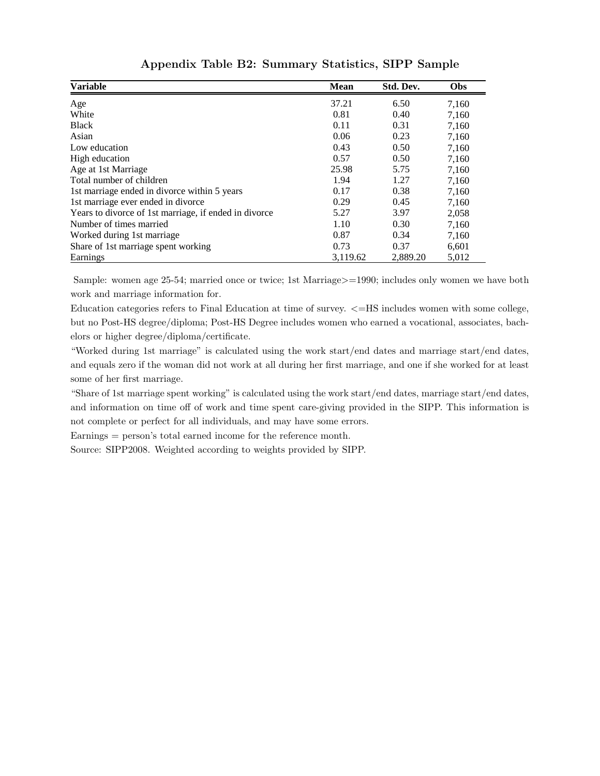| <b>Variable</b>                                       | <b>Mean</b> | Std. Dev. | Obs   |
|-------------------------------------------------------|-------------|-----------|-------|
| Age                                                   | 37.21       | 6.50      | 7,160 |
| White                                                 | 0.81        | 0.40      | 7,160 |
| <b>Black</b>                                          | 0.11        | 0.31      | 7,160 |
| Asian                                                 | 0.06        | 0.23      | 7,160 |
| Low education                                         | 0.43        | 0.50      | 7,160 |
| High education                                        | 0.57        | 0.50      | 7,160 |
| Age at 1st Marriage                                   | 25.98       | 5.75      | 7,160 |
| Total number of children                              | 1.94        | 1.27      | 7,160 |
| 1st marriage ended in divorce within 5 years          | 0.17        | 0.38      | 7,160 |
| 1st marriage ever ended in divorce                    | 0.29        | 0.45      | 7,160 |
| Years to divorce of 1st marriage, if ended in divorce | 5.27        | 3.97      | 2,058 |
| Number of times married                               | 1.10        | 0.30      | 7,160 |
| Worked during 1st marriage                            | 0.87        | 0.34      | 7,160 |
| Share of 1st marriage spent working                   | 0.73        | 0.37      | 6,601 |
| Earnings                                              | 3,119.62    | 2,889.20  | 5,012 |

Appendix Table B2: Summary Statistics, SIPP Sample

Sample: women age 25-54; married once or twice; 1st Marriage>=1990; includes only women we have both work and marriage information for.

Education categories refers to Final Education at time of survey. <=HS includes women with some college, but no Post-HS degree/diploma; Post-HS Degree includes women who earned a vocational, associates, bachelors or higher degree/diploma/certificate.

"Worked during 1st marriage" is calculated using the work start/end dates and marriage start/end dates, and equals zero if the woman did not work at all during her first marriage, and one if she worked for at least some of her first marriage.

"Share of 1st marriage spent working" is calculated using the work start/end dates, marriage start/end dates, and information on time off of work and time spent care-giving provided in the SIPP. This information is not complete or perfect for all individuals, and may have some errors.

Earnings = person's total earned income for the reference month.

Source: SIPP2008. Weighted according to weights provided by SIPP.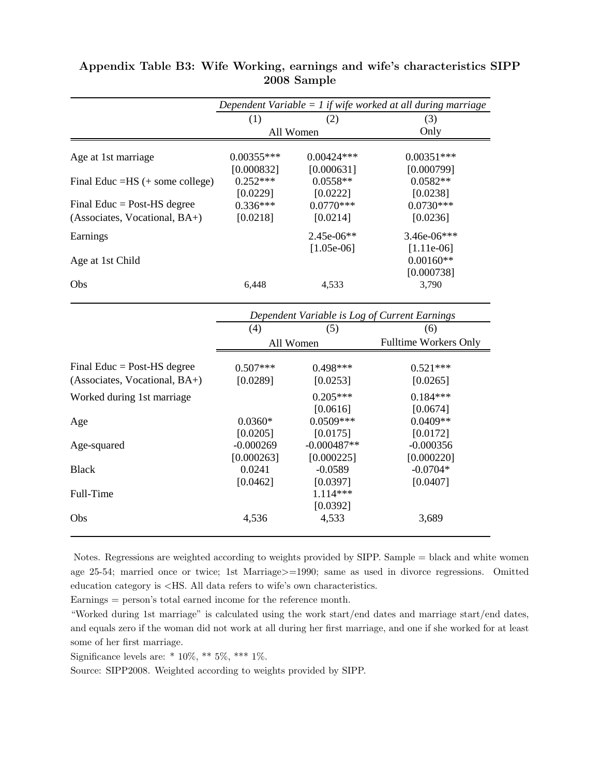|                                    | Dependent Variable $= 1$ if wife worked at all during marriage |              |               |  |
|------------------------------------|----------------------------------------------------------------|--------------|---------------|--|
|                                    | (1)                                                            | (2)          | (3)           |  |
|                                    |                                                                | All Women    | Only          |  |
| Age at 1st marriage                | $0.00355***$                                                   | $0.00424***$ | $0.00351***$  |  |
|                                    | [0.000832]                                                     | [0.000631]   | [0.000799]    |  |
| Final Educ = $HS$ (+ some college) | $0.252***$                                                     | $0.0558**$   | $0.0582**$    |  |
|                                    | [0.0229]                                                       | [0.0222]     | [0.0238]      |  |
| Final Educ = Post-HS degree        | $0.336***$                                                     | $0.0770***$  | $0.0730***$   |  |
| (Associates, Vocational, BA+)      | [0.0218]                                                       | [0.0214]     | [0.0236]      |  |
| Earnings                           |                                                                | $2.45e-06**$ | $3.46e-06***$ |  |
|                                    |                                                                | $[1.05e-06]$ | $[1.11e-06]$  |  |
| Age at 1st Child                   |                                                                |              | $0.00160**$   |  |
|                                    |                                                                |              | [0.000738]    |  |
| Obs                                | 6.448                                                          | 4,533        | 3,790         |  |

| Appendix Table B3: Wife Working, earnings and wife's characteristics SIPP |             |  |  |
|---------------------------------------------------------------------------|-------------|--|--|
|                                                                           | 2008 Sample |  |  |

|                                 | Dependent Variable is Log of Current Earnings |                                     |                                      |
|---------------------------------|-----------------------------------------------|-------------------------------------|--------------------------------------|
|                                 | (4)                                           | (5)                                 | (6)                                  |
|                                 |                                               | All Women                           | <b>Fulltime Workers Only</b>         |
| Final Educ = Post-HS degree     | $0.507***$                                    | $0.498***$                          | $0.521***$                           |
| $(Associates, Vocational, BA+)$ | [0.0289]                                      | [0.0253]                            | [0.0265]                             |
| Worked during 1st marriage      |                                               | $0.205***$<br>[0.0616]              | $0.184***$<br>[0.0674]               |
| Age                             | $0.0360*$                                     | $0.0509***$                         | $0.0409**$                           |
| Age-squared                     | [0.0205]<br>$-0.000269$                       | [0.0175]<br>$-0.000487**$           | [0.0172]<br>$-0.000356$              |
| <b>Black</b>                    | [0.000263]<br>0.0241<br>[0.0462]              | [0.000225]<br>$-0.0589$<br>[0.0397] | [0.000220]<br>$-0.0704*$<br>[0.0407] |
| Full-Time                       |                                               | $1.114***$<br>[0.0392]              |                                      |
| Obs                             | 4,536                                         | 4,533                               | 3,689                                |

Notes. Regressions are weighted according to weights provided by SIPP. Sample = black and white women age 25-54; married once or twice; 1st Marriage>=1990; same as used in divorce regressions. Omitted education category is <HS. All data refers to wife's own characteristics.

Earnings = person's total earned income for the reference month.

"Worked during 1st marriage" is calculated using the work start/end dates and marriage start/end dates, and equals zero if the woman did not work at all during her first marriage, and one if she worked for at least some of her first marriage.

Significance levels are: \*  $10\%,$  \*\*  $5\%,$  \*\*\*  $1\%.$ 

Source: SIPP2008. Weighted according to weights provided by SIPP.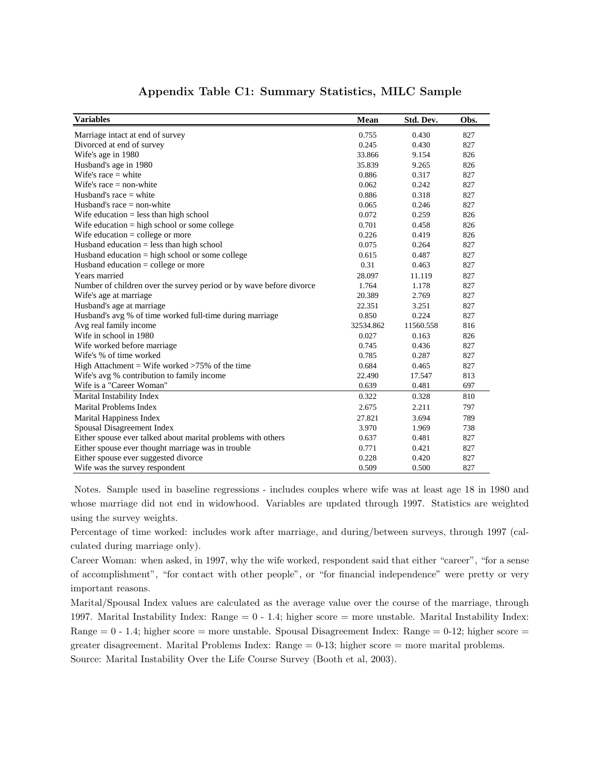| <b>Variables</b>                                                    | Mean      | Std. Dev. | Obs. |
|---------------------------------------------------------------------|-----------|-----------|------|
| Marriage intact at end of survey                                    | 0.755     | 0.430     | 827  |
| Divorced at end of survey                                           | 0.245     | 0.430     | 827  |
| Wife's age in 1980                                                  | 33.866    | 9.154     | 826  |
| Husband's age in 1980                                               | 35.839    | 9.265     | 826  |
| Wife's race $=$ white                                               | 0.886     | 0.317     | 827  |
| Wife's race $=$ non-white                                           | 0.062     | 0.242     | 827  |
| Husband's race $=$ white                                            | 0.886     | 0.318     | 827  |
| Husband's race $=$ non-white                                        | 0.065     | 0.246     | 827  |
| Wife education $=$ less than high school                            | 0.072     | 0.259     | 826  |
| Wife education $=$ high school or some college                      | 0.701     | 0.458     | 826  |
| Wife education $=$ college or more                                  | 0.226     | 0.419     | 826  |
| Husband education $=$ less than high school                         | 0.075     | 0.264     | 827  |
| Husband education $=$ high school or some college                   | 0.615     | 0.487     | 827  |
| Husband education $=$ college or more                               | 0.31      | 0.463     | 827  |
| Years married                                                       | 28.097    | 11.119    | 827  |
| Number of children over the survey period or by wave before divorce | 1.764     | 1.178     | 827  |
| Wife's age at marriage                                              | 20.389    | 2.769     | 827  |
| Husband's age at marriage                                           | 22.351    | 3.251     | 827  |
| Husband's avg % of time worked full-time during marriage            | 0.850     | 0.224     | 827  |
| Avg real family income                                              | 32534.862 | 11560.558 | 816  |
| Wife in school in 1980                                              | 0.027     | 0.163     | 826  |
| Wife worked before marriage                                         | 0.745     | 0.436     | 827  |
| Wife's % of time worked                                             | 0.785     | 0.287     | 827  |
| High Attachment = Wife worked >75% of the time                      | 0.684     | 0.465     | 827  |
| Wife's avg % contribution to family income                          | 22.490    | 17.547    | 813  |
| Wife is a "Career Woman"                                            | 0.639     | 0.481     | 697  |
| Marital Instability Index                                           | 0.322     | 0.328     | 810  |
| <b>Marital Problems Index</b>                                       | 2.675     | 2.211     | 797  |
| Marital Happiness Index                                             | 27.821    | 3.694     | 789  |
| Spousal Disagreement Index                                          | 3.970     | 1.969     | 738  |
| Either spouse ever talked about marital problems with others        | 0.637     | 0.481     | 827  |
| Either spouse ever thought marriage was in trouble                  | 0.771     | 0.421     | 827  |
| Either spouse ever suggested divorce                                | 0.228     | 0.420     | 827  |
| Wife was the survey respondent                                      | 0.509     | 0.500     | 827  |

### Appendix Table C1: Summary Statistics, MILC Sample

Notes. Sample used in baseline regressions - includes couples where wife was at least age 18 in 1980 and whose marriage did not end in widowhood. Variables are updated through 1997. Statistics are weighted using the survey weights.

Percentage of time worked: includes work after marriage, and during/between surveys, through 1997 (calculated during marriage only).

Career Woman: when asked, in 1997, why the wife worked, respondent said that either "career", "for a sense of accomplishment", "for contact with other people", or "for financial independence" were pretty or very important reasons.

Marital/Spousal Index values are calculated as the average value over the course of the marriage, through 1997. Marital Instability Index: Range = 0 - 1.4; higher score = more unstable. Marital Instability Index: Range  $= 0 - 1.4$ ; higher score  $=$  more unstable. Spousal Disagreement Index: Range  $= 0-12$ ; higher score  $=$ greater disagreement. Marital Problems Index: Range  $= 0.13$ ; higher score  $=$  more marital problems. Source: Marital Instability Over the Life Course Survey (Booth et al, 2003).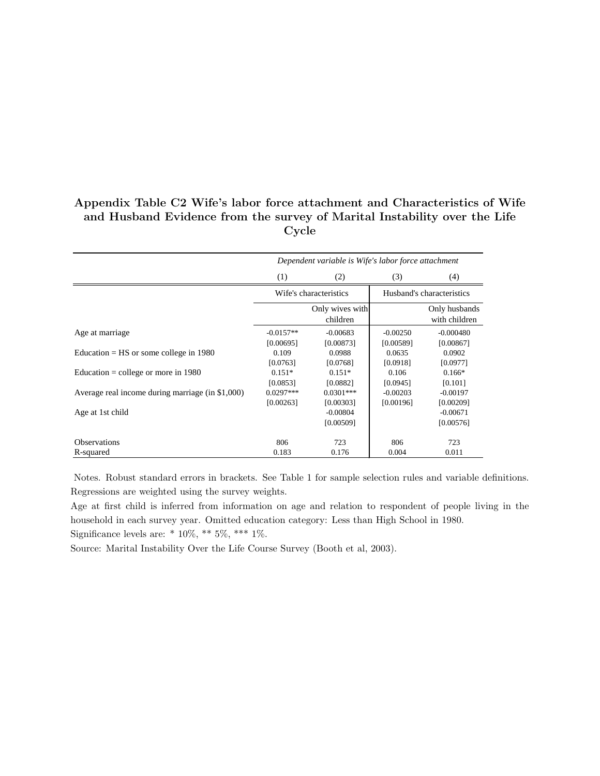### Appendix Table C2 Wife's labor force attachment and Characteristics of Wife and Husband Evidence from the survey of Marital Instability over the Life Cycle

|                                                  | Dependent variable is Wife's labor force attachment |                                      |                           |                                      |
|--------------------------------------------------|-----------------------------------------------------|--------------------------------------|---------------------------|--------------------------------------|
|                                                  | (1)                                                 | (2)                                  | (3)                       | (4)                                  |
|                                                  | Wife's characteristics                              |                                      | Husband's characteristics |                                      |
|                                                  |                                                     | Only wives with<br>children          |                           | Only husbands<br>with children       |
| Age at marriage                                  | $-0.0157**$<br>[0.00695]                            | $-0.00683$<br>[0.00873]              | $-0.00250$<br>[0.00589]   | $-0.000480$<br>[0.00867]             |
| Education = $HS$ or some college in 1980         | 0.109<br>[0.0763]                                   | 0.0988<br>[0.0768]                   | 0.0635<br>[0.0918]        | 0.0902<br>[0.0977]                   |
| Education = college or more in $1980$            | $0.151*$                                            | $0.151*$                             | 0.106                     | $0.166*$                             |
| Average real income during marriage (in \$1,000) | [0.0853]<br>$0.0297***$                             | [0.0882]<br>$0.0301***$              | [0.0945]<br>$-0.00203$    | [0.101]<br>$-0.00197$                |
| Age at 1st child                                 | [0.00263]                                           | [0.00303]<br>$-0.00804$<br>[0.00509] | [0.00196]                 | [0.00209]<br>$-0.00671$<br>[0.00576] |
| <b>Observations</b><br>R-squared                 | 806<br>0.183                                        | 723<br>0.176                         | 806<br>0.004              | 723<br>0.011                         |

Notes. Robust standard errors in brackets. See Table 1 for sample selection rules and variable definitions. Regressions are weighted using the survey weights.

Age at first child is inferred from information on age and relation to respondent of people living in the household in each survey year. Omitted education category: Less than High School in 1980. Significance levels are:  $* 10\%, ** 5\%, *** 1\%$ .